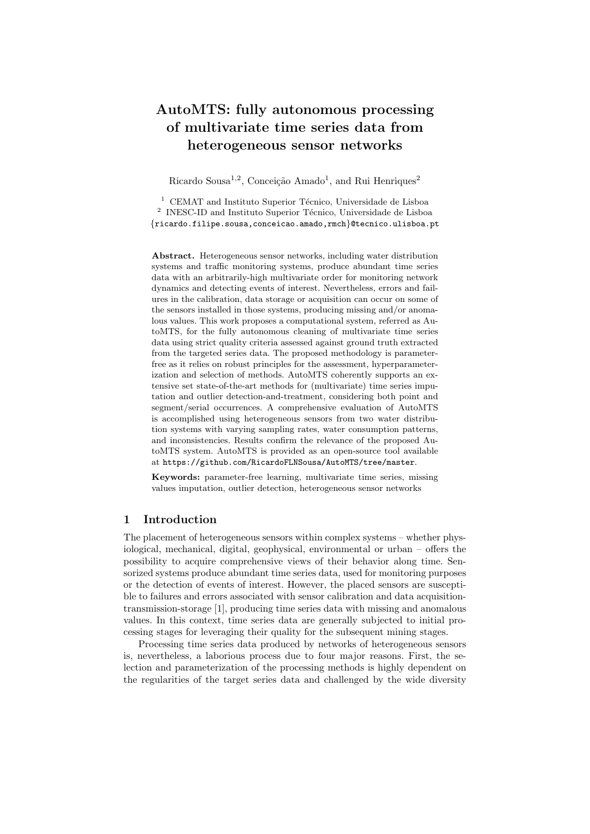# AutoMTS: fully autonomous processing of multivariate time series data from heterogeneous sensor networks

Ricardo Sousa<sup>1,2</sup>, Conceição Amado<sup>1</sup>, and Rui Henriques<sup>2</sup>

 $^{\rm 1}$  CEMAT and Instituto Superior Técnico, Universidade de Lisboa <sup>2</sup> INESC-ID and Instituto Superior Técnico, Universidade de Lisboa {ricardo.filipe.sousa,conceicao.amado,rmch}@tecnico.ulisboa.pt

Abstract. Heterogeneous sensor networks, including water distribution systems and traffic monitoring systems, produce abundant time series data with an arbitrarily-high multivariate order for monitoring network dynamics and detecting events of interest. Nevertheless, errors and failures in the calibration, data storage or acquisition can occur on some of the sensors installed in those systems, producing missing and/or anomalous values. This work proposes a computational system, referred as AutoMTS, for the fully autonomous cleaning of multivariate time series data using strict quality criteria assessed against ground truth extracted from the targeted series data. The proposed methodology is parameterfree as it relies on robust principles for the assessment, hyperparameterization and selection of methods. AutoMTS coherently supports an extensive set state-of-the-art methods for (multivariate) time series imputation and outlier detection-and-treatment, considering both point and segment/serial occurrences. A comprehensive evaluation of AutoMTS is accomplished using heterogeneous sensors from two water distribution systems with varying sampling rates, water consumption patterns, and inconsistencies. Results confirm the relevance of the proposed AutoMTS system. AutoMTS is provided as an open-source tool available at https://github.com/RicardoFLNSousa/AutoMTS/tree/master. .

Keywords: parameter-free learning, multivariate time series, missing values imputation, outlier detection, heterogeneous sensor networks

# 1 Introduction

The placement of heterogeneous sensors within complex systems – whether physiological, mechanical, digital, geophysical, environmental or urban – offers the possibility to acquire comprehensive views of their behavior along time. Sensorized systems produce abundant time series data, used for monitoring purposes or the detection of events of interest. However, the placed sensors are susceptible to failures and errors associated with sensor calibration and data acquisitiontransmission-storage [1], producing time series data with missing and anomalous values. In this context, time series data are generally subjected to initial processing stages for leveraging their quality for the subsequent mining stages.

Processing time series data produced by networks of heterogeneous sensors is, nevertheless, a laborious process due to four major reasons. First, the selection and parameterization of the processing methods is highly dependent on the regularities of the target series data and challenged by the wide diversity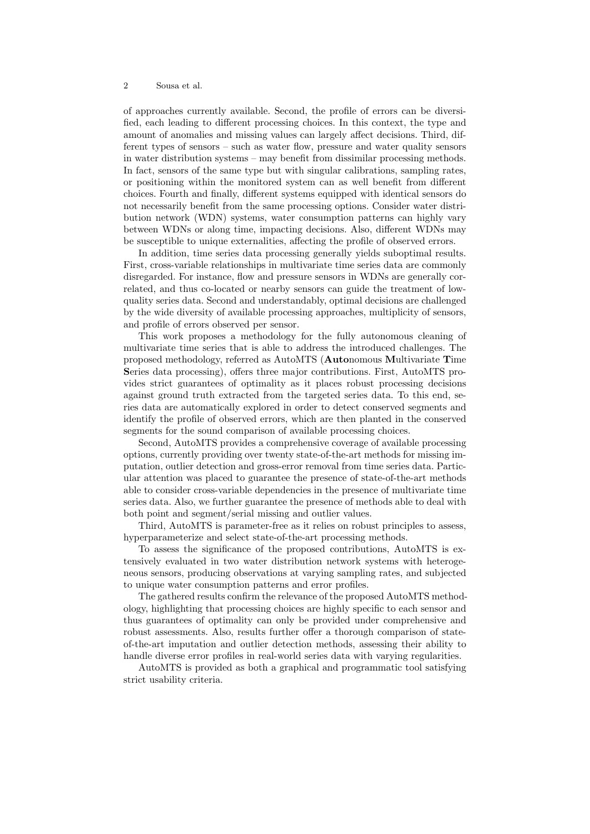of approaches currently available. Second, the profile of errors can be diversified, each leading to different processing choices. In this context, the type and amount of anomalies and missing values can largely affect decisions. Third, different types of sensors – such as water flow, pressure and water quality sensors in water distribution systems – may benefit from dissimilar processing methods. In fact, sensors of the same type but with singular calibrations, sampling rates, or positioning within the monitored system can as well benefit from different choices. Fourth and finally, different systems equipped with identical sensors do not necessarily benefit from the same processing options. Consider water distribution network (WDN) systems, water consumption patterns can highly vary between WDNs or along time, impacting decisions. Also, different WDNs may be susceptible to unique externalities, affecting the profile of observed errors.

In addition, time series data processing generally yields suboptimal results. First, cross-variable relationships in multivariate time series data are commonly disregarded. For instance, flow and pressure sensors in WDNs are generally correlated, and thus co-located or nearby sensors can guide the treatment of lowquality series data. Second and understandably, optimal decisions are challenged by the wide diversity of available processing approaches, multiplicity of sensors, and profile of errors observed per sensor.

This work proposes a methodology for the fully autonomous cleaning of multivariate time series that is able to address the introduced challenges. The proposed methodology, referred as AutoMTS (Autonomous Multivariate Time Series data processing), offers three major contributions. First, AutoMTS provides strict guarantees of optimality as it places robust processing decisions against ground truth extracted from the targeted series data. To this end, series data are automatically explored in order to detect conserved segments and identify the profile of observed errors, which are then planted in the conserved segments for the sound comparison of available processing choices.

Second, AutoMTS provides a comprehensive coverage of available processing options, currently providing over twenty state-of-the-art methods for missing imputation, outlier detection and gross-error removal from time series data. Particular attention was placed to guarantee the presence of state-of-the-art methods able to consider cross-variable dependencies in the presence of multivariate time series data. Also, we further guarantee the presence of methods able to deal with both point and segment/serial missing and outlier values.

Third, AutoMTS is parameter-free as it relies on robust principles to assess, hyperparameterize and select state-of-the-art processing methods.

To assess the significance of the proposed contributions, AutoMTS is extensively evaluated in two water distribution network systems with heterogeneous sensors, producing observations at varying sampling rates, and subjected to unique water consumption patterns and error profiles.

The gathered results confirm the relevance of the proposed AutoMTS methodology, highlighting that processing choices are highly specific to each sensor and thus guarantees of optimality can only be provided under comprehensive and robust assessments. Also, results further offer a thorough comparison of stateof-the-art imputation and outlier detection methods, assessing their ability to handle diverse error profiles in real-world series data with varying regularities.

AutoMTS is provided as both a graphical and programmatic tool satisfying strict usability criteria.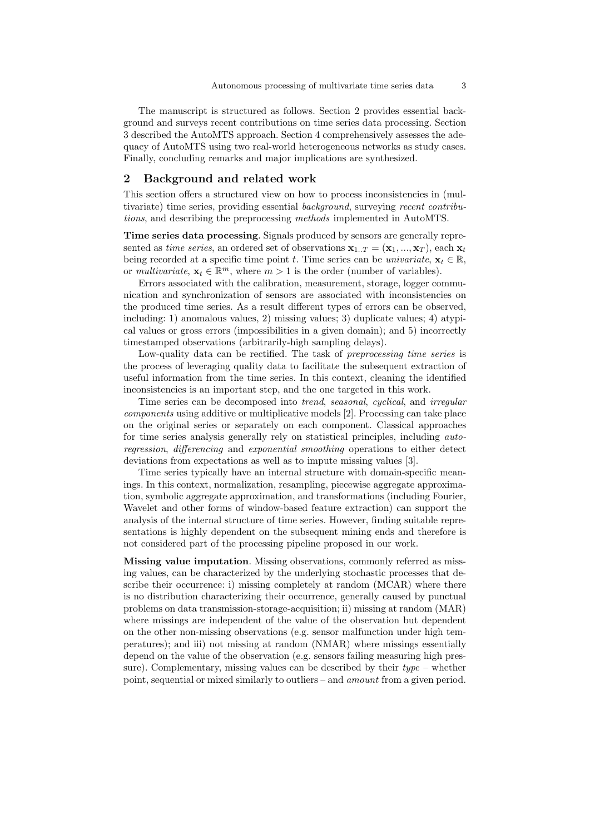The manuscript is structured as follows. Section 2 provides essential background and surveys recent contributions on time series data processing. Section 3 described the AutoMTS approach. Section 4 comprehensively assesses the adequacy of AutoMTS using two real-world heterogeneous networks as study cases. . Finally, concluding remarks and major implications are synthesized.

## 2 Background and related work

This section offers a structured view on how to process inconsistencies in (multivariate) time series, providing essential background, surveying recent contributions, and describing the preprocessing methods implemented in AutoMTS.

Time series data processing. Signals produced by sensors are generally represented as *time series*, an ordered set of observations  $\mathbf{x}_{1..T} = (\mathbf{x}_1, ..., \mathbf{x}_T)$ , each  $\mathbf{x}_t$ being recorded at a specific time point t. Time series can be univariate,  $\mathbf{x}_t \in \mathbb{R}$ , or *multivariate*,  $\mathbf{x}_t \in \mathbb{R}^m$ , where  $m > 1$  is the order (number of variables).

Errors associated with the calibration, measurement, storage, logger communication and synchronization of sensors are associated with inconsistencies on the produced time series. As a result different types of errors can be observed, including: 1) anomalous values, 2) missing values; 3) duplicate values; 4) atypical values or gross errors (impossibilities in a given domain); and 5) incorrectly timestamped observations (arbitrarily-high sampling delays).

Low-quality data can be rectified. The task of *preprocessing time series* is the process of leveraging quality data to facilitate the subsequent extraction of useful information from the time series. In this context, cleaning the identified inconsistencies is an important step, and the one targeted in this work.

Time series can be decomposed into trend, seasonal, cyclical, and irregular components using additive or multiplicative models [2]. Processing can take place on the original series or separately on each component. Classical approaches for time series analysis generally rely on statistical principles, including autoregression, differencing and exponential smoothing operations to either detect deviations from expectations as well as to impute missing values [3].

Time series typically have an internal structure with domain-specific meanings. In this context, normalization, resampling, piecewise aggregate approximation, symbolic aggregate approximation, and transformations (including Fourier, Wavelet and other forms of window-based feature extraction) can support the analysis of the internal structure of time series. However, finding suitable representations is highly dependent on the subsequent mining ends and therefore is not considered part of the processing pipeline proposed in our work.

Missing value imputation. Missing observations, commonly referred as missing values, can be characterized by the underlying stochastic processes that describe their occurrence: i) missing completely at random (MCAR) where there is no distribution characterizing their occurrence, generally caused by punctual problems on data transmission-storage-acquisition; ii) missing at random (MAR) where missings are independent of the value of the observation but dependent on the other non-missing observations (e.g. sensor malfunction under high temperatures); and iii) not missing at random (NMAR) where missings essentially depend on the value of the observation (e.g. sensors failing measuring high pressure). Complementary, missing values can be described by their  $type$  – whether point, sequential or mixed similarly to outliers – and amount from a given period.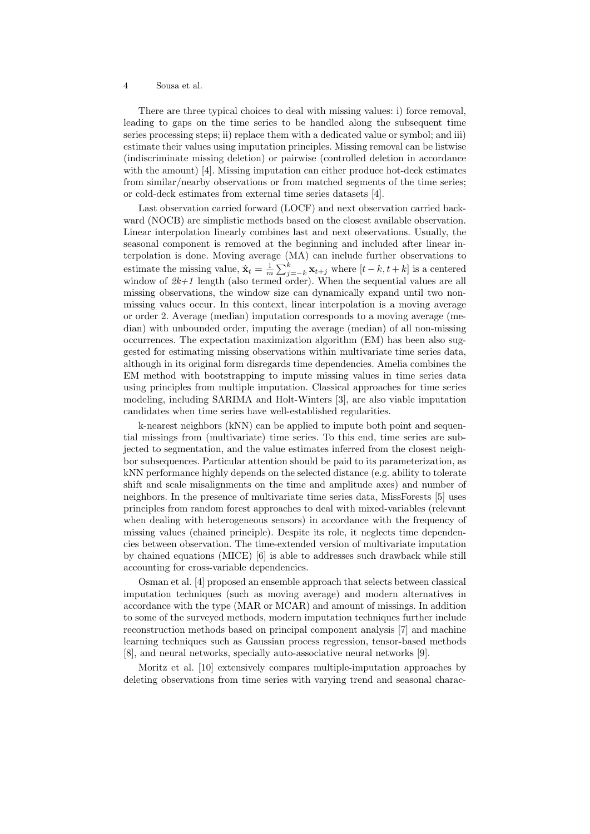There are three typical choices to deal with missing values: i) force removal, leading to gaps on the time series to be handled along the subsequent time series processing steps; ii) replace them with a dedicated value or symbol; and iii) estimate their values using imputation principles. Missing removal can be listwise (indiscriminate missing deletion) or pairwise (controlled deletion in accordance with the amount) [4]. Missing imputation can either produce hot-deck estimates from similar/nearby observations or from matched segments of the time series; or cold-deck estimates from external time series datasets [4].

Last observation carried forward (LOCF) and next observation carried backward (NOCB) are simplistic methods based on the closest available observation. Linear interpolation linearly combines last and next observations. Usually, the seasonal component is removed at the beginning and included after linear interpolation is done. Moving average (MA) can include further observations to estimate the missing value,  $\hat{\mathbf{x}}_t = \frac{1}{m} \sum_{j=-k}^{k} \mathbf{x}_{t+j}$  where  $[t-k, t+k]$  is a centered window of  $2k+1$  length (also termed order). When the sequential values are all missing observations, the window size can dynamically expand until two nonmissing values occur. In this context, linear interpolation is a moving average or order 2. Average (median) imputation corresponds to a moving average (median) with unbounded order, imputing the average (median) of all non-missing occurrences. The expectation maximization algorithm (EM) has been also suggested for estimating missing observations within multivariate time series data, although in its original form disregards time dependencies. Amelia combines the EM method with bootstrapping to impute missing values in time series data using principles from multiple imputation. Classical approaches for time series modeling, including SARIMA and Holt-Winters [3], are also viable imputation candidates when time series have well-established regularities.

k-nearest neighbors (kNN) can be applied to impute both point and sequential missings from (multivariate) time series. To this end, time series are subjected to segmentation, and the value estimates inferred from the closest neighbor subsequences. Particular attention should be paid to its parameterization, as kNN performance highly depends on the selected distance (e.g. ability to tolerate shift and scale misalignments on the time and amplitude axes) and number of neighbors. In the presence of multivariate time series data, MissForests [5] uses principles from random forest approaches to deal with mixed-variables (relevant when dealing with heterogeneous sensors) in accordance with the frequency of missing values (chained principle). Despite its role, it neglects time dependencies between observation. The time-extended version of multivariate imputation by chained equations (MICE) [6] is able to addresses such drawback while still accounting for cross-variable dependencies.

Osman et al. [4] proposed an ensemble approach that selects between classical imputation techniques (such as moving average) and modern alternatives in accordance with the type (MAR or MCAR) and amount of missings. In addition to some of the surveyed methods, modern imputation techniques further include reconstruction methods based on principal component analysis [7] and machine learning techniques such as Gaussian process regression, tensor-based methods [8], and neural networks, specially auto-associative neural networks [9].

Moritz et al. [10] extensively compares multiple-imputation approaches by deleting observations from time series with varying trend and seasonal charac-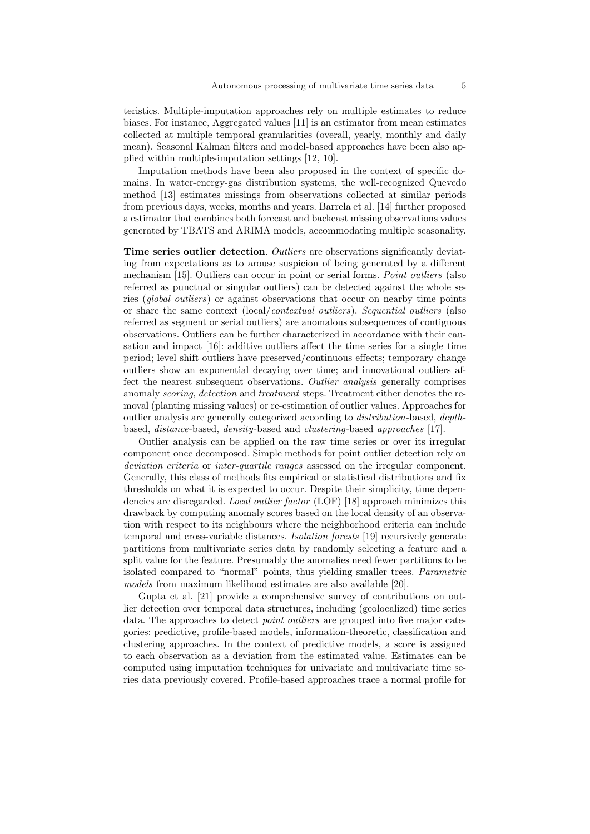teristics. Multiple-imputation approaches rely on multiple estimates to reduce biases. For instance, Aggregated values [11] is an estimator from mean estimates collected at multiple temporal granularities (overall, yearly, monthly and daily mean). Seasonal Kalman filters and model-based approaches have been also applied within multiple-imputation settings [12, 10].

Imputation methods have been also proposed in the context of specific domains. In water-energy-gas distribution systems, the well-recognized Quevedo method [13] estimates missings from observations collected at similar periods from previous days, weeks, months and years. Barrela et al. [14] further proposed a estimator that combines both forecast and backcast missing observations values generated by TBATS and ARIMA models, accommodating multiple seasonality.

Time series outlier detection. Outliers are observations significantly deviating from expectations as to arouse suspicion of being generated by a different mechanism [15]. Outliers can occur in point or serial forms. Point outliers (also referred as punctual or singular outliers) can be detected against the whole series (global outliers) or against observations that occur on nearby time points or share the same context (local/contextual outliers). Sequential outliers (also referred as segment or serial outliers) are anomalous subsequences of contiguous observations. Outliers can be further characterized in accordance with their causation and impact [16]: additive outliers affect the time series for a single time period; level shift outliers have preserved/continuous effects; temporary change outliers show an exponential decaying over time; and innovational outliers affect the nearest subsequent observations. Outlier analysis generally comprises anomaly scoring, detection and treatment steps. Treatment either denotes the removal (planting missing values) or re-estimation of outlier values. Approaches for outlier analysis are generally categorized according to distribution-based, depthbased, distance-based, density-based and clustering-based approaches [17].

Outlier analysis can be applied on the raw time series or over its irregular component once decomposed. Simple methods for point outlier detection rely on deviation criteria or inter-quartile ranges assessed on the irregular component. Generally, this class of methods fits empirical or statistical distributions and fix thresholds on what it is expected to occur. Despite their simplicity, time dependencies are disregarded. Local outlier factor (LOF) [18] approach minimizes this drawback by computing anomaly scores based on the local density of an observation with respect to its neighbours where the neighborhood criteria can include temporal and cross-variable distances. Isolation forests [19] recursively generate partitions from multivariate series data by randomly selecting a feature and a split value for the feature. Presumably the anomalies need fewer partitions to be isolated compared to "normal" points, thus yielding smaller trees. Parametric models from maximum likelihood estimates are also available [20].

Gupta et al. [21] provide a comprehensive survey of contributions on outlier detection over temporal data structures, including (geolocalized) time series data. The approaches to detect *point outliers* are grouped into five major categories: predictive, profile-based models, information-theoretic, classification and clustering approaches. In the context of predictive models, a score is assigned to each observation as a deviation from the estimated value. Estimates can be computed using imputation techniques for univariate and multivariate time series data previously covered. Profile-based approaches trace a normal profile for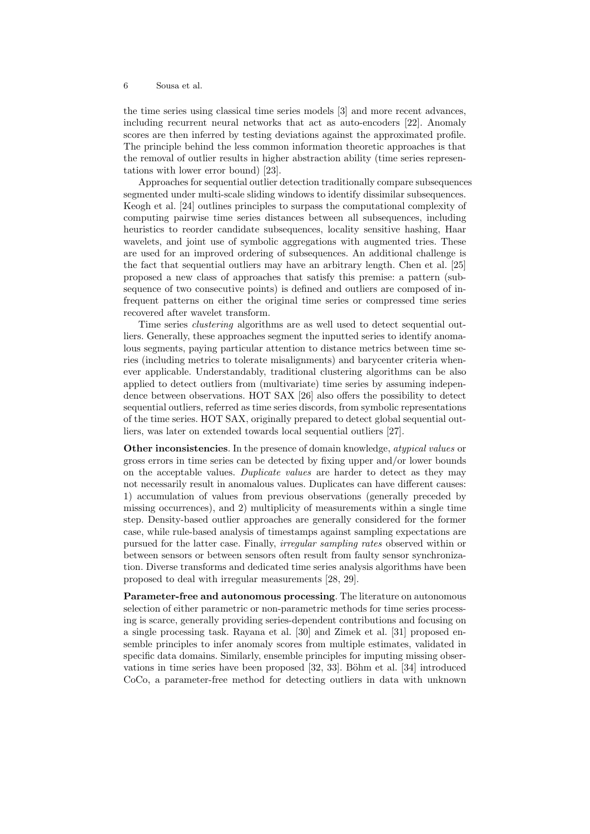the time series using classical time series models [3] and more recent advances, including recurrent neural networks that act as auto-encoders [22]. Anomaly scores are then inferred by testing deviations against the approximated profile. The principle behind the less common information theoretic approaches is that the removal of outlier results in higher abstraction ability (time series representations with lower error bound) [23].

Approaches for sequential outlier detection traditionally compare subsequences segmented under multi-scale sliding windows to identify dissimilar subsequences. Keogh et al. [24] outlines principles to surpass the computational complexity of computing pairwise time series distances between all subsequences, including heuristics to reorder candidate subsequences, locality sensitive hashing, Haar wavelets, and joint use of symbolic aggregations with augmented tries. These are used for an improved ordering of subsequences. An additional challenge is the fact that sequential outliers may have an arbitrary length. Chen et al. [25] proposed a new class of approaches that satisfy this premise: a pattern (subsequence of two consecutive points) is defined and outliers are composed of infrequent patterns on either the original time series or compressed time series recovered after wavelet transform.

Time series clustering algorithms are as well used to detect sequential outliers. Generally, these approaches segment the inputted series to identify anomalous segments, paying particular attention to distance metrics between time series (including metrics to tolerate misalignments) and barycenter criteria whenever applicable. Understandably, traditional clustering algorithms can be also applied to detect outliers from (multivariate) time series by assuming independence between observations. HOT SAX [26] also offers the possibility to detect sequential outliers, referred as time series discords, from symbolic representations of the time series. HOT SAX, originally prepared to detect global sequential outliers, was later on extended towards local sequential outliers [27].

Other inconsistencies. In the presence of domain knowledge, *atypical values* or gross errors in time series can be detected by fixing upper and/or lower bounds on the acceptable values. Duplicate values are harder to detect as they may not necessarily result in anomalous values. Duplicates can have different causes: 1) accumulation of values from previous observations (generally preceded by missing occurrences), and 2) multiplicity of measurements within a single time step. Density-based outlier approaches are generally considered for the former case, while rule-based analysis of timestamps against sampling expectations are pursued for the latter case. Finally, irregular sampling rates observed within or between sensors or between sensors often result from faulty sensor synchronization. Diverse transforms and dedicated time series analysis algorithms have been proposed to deal with irregular measurements [28, 29].

Parameter-free and autonomous processing. The literature on autonomous selection of either parametric or non-parametric methods for time series processing is scarce, generally providing series-dependent contributions and focusing on a single processing task. Rayana et al. [30] and Zimek et al. [31] proposed ensemble principles to infer anomaly scores from multiple estimates, validated in specific data domains. Similarly, ensemble principles for imputing missing observations in time series have been proposed  $[32, 33]$ . Böhm et al.  $[34]$  introduced CoCo, a parameter-free method for detecting outliers in data with unknown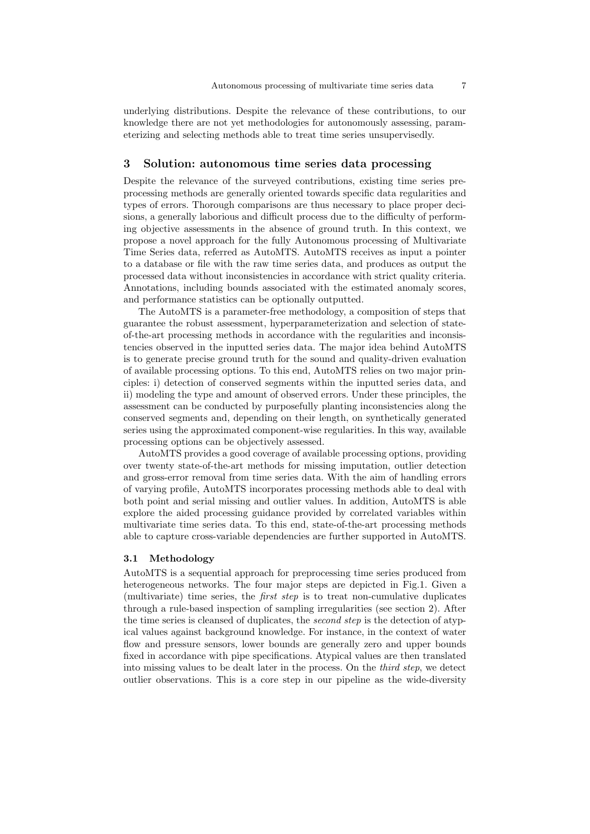underlying distributions. Despite the relevance of these contributions, to our knowledge there are not yet methodologies for autonomously assessing, parameterizing and selecting methods able to treat time series unsupervisedly. .

## 3 Solution: autonomous time series data processing

Despite the relevance of the surveyed contributions, existing time series preprocessing methods are generally oriented towards specific data regularities and types of errors. Thorough comparisons are thus necessary to place proper decisions, a generally laborious and difficult process due to the difficulty of performing objective assessments in the absence of ground truth. In this context, we propose a novel approach for the fully Autonomous processing of Multivariate Time Series data, referred as AutoMTS. AutoMTS receives as input a pointer to a database or file with the raw time series data, and produces as output the processed data without inconsistencies in accordance with strict quality criteria. Annotations, including bounds associated with the estimated anomaly scores, and performance statistics can be optionally outputted.

The AutoMTS is a parameter-free methodology, a composition of steps that guarantee the robust assessment, hyperparameterization and selection of stateof-the-art processing methods in accordance with the regularities and inconsistencies observed in the inputted series data. The major idea behind AutoMTS is to generate precise ground truth for the sound and quality-driven evaluation of available processing options. To this end, AutoMTS relies on two major principles: i) detection of conserved segments within the inputted series data, and ii) modeling the type and amount of observed errors. Under these principles, the assessment can be conducted by purposefully planting inconsistencies along the conserved segments and, depending on their length, on synthetically generated series using the approximated component-wise regularities. In this way, available processing options can be objectively assessed.

AutoMTS provides a good coverage of available processing options, providing over twenty state-of-the-art methods for missing imputation, outlier detection and gross-error removal from time series data. With the aim of handling errors of varying profile, AutoMTS incorporates processing methods able to deal with both point and serial missing and outlier values. In addition, AutoMTS is able explore the aided processing guidance provided by correlated variables within multivariate time series data. To this end, state-of-the-art processing methods . able to capture cross-variable dependencies are further supported in AutoMTS.

## 3.1 Methodology

AutoMTS is a sequential approach for preprocessing time series produced from heterogeneous networks. The four major steps are depicted in Fig.1. Given a (multivariate) time series, the first step is to treat non-cumulative duplicates through a rule-based inspection of sampling irregularities (see section 2). After the time series is cleansed of duplicates, the second step is the detection of atypical values against background knowledge. For instance, in the context of water flow and pressure sensors, lower bounds are generally zero and upper bounds fixed in accordance with pipe specifications. Atypical values are then translated into missing values to be dealt later in the process. On the third step, we detect outlier observations. This is a core step in our pipeline as the wide-diversity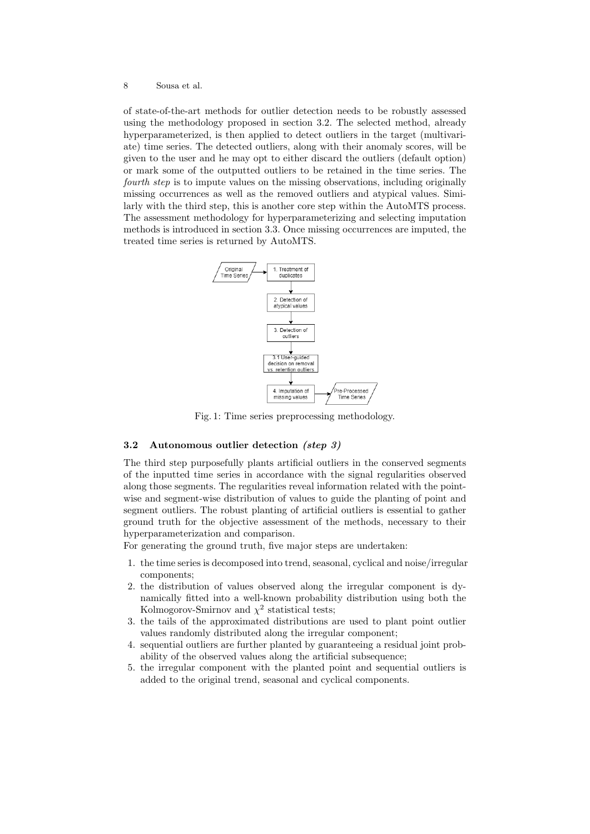of state-of-the-art methods for outlier detection needs to be robustly assessed using the methodology proposed in section 3.2. The selected method, already hyperparameterized, is then applied to detect outliers in the target (multivariate) time series. The detected outliers, along with their anomaly scores, will be given to the user and he may opt to either discard the outliers (default option) or mark some of the outputted outliers to be retained in the time series. The fourth step is to impute values on the missing observations, including originally missing occurrences as well as the removed outliers and atypical values. Similarly with the third step, this is another core step within the AutoMTS process. The assessment methodology for hyperparameterizing and selecting imputation methods is introduced in section 3.3. Once missing occurrences are imputed, the treated time series is returned by AutoMTS.



Fig. 1: Time series preprocessing methodology.

## 3.2 Autonomous outlier detection (step 3)

The third step purposefully plants artificial outliers in the conserved segments of the inputted time series in accordance with the signal regularities observed along those segments. The regularities reveal information related with the pointwise and segment-wise distribution of values to guide the planting of point and segment outliers. The robust planting of artificial outliers is essential to gather ground truth for the objective assessment of the methods, necessary to their hyperparameterization and comparison.

For generating the ground truth, five major steps are undertaken:

- 1. the time series is decomposed into trend, seasonal, cyclical and noise/irregular components;
- 2. the distribution of values observed along the irregular component is dynamically fitted into a well-known probability distribution using both the Kolmogorov-Smirnov and  $\chi^2$  statistical tests;
- 3. the tails of the approximated distributions are used to plant point outlier values randomly distributed along the irregular component;
- 4. sequential outliers are further planted by guaranteeing a residual joint probability of the observed values along the artificial subsequence;
- 5. the irregular component with the planted point and sequential outliers is added to the original trend, seasonal and cyclical components.

<sup>8</sup> Sousa et al.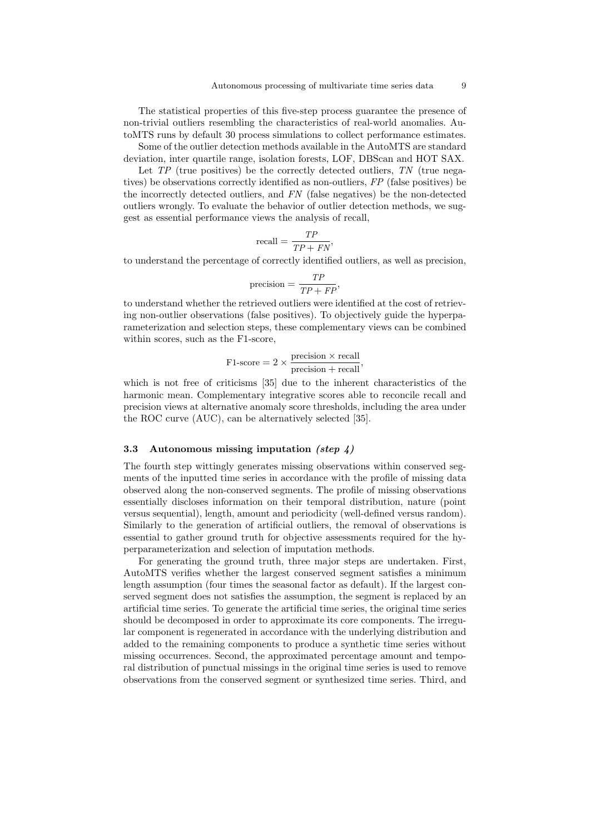The statistical properties of this five-step process guarantee the presence of non-trivial outliers resembling the characteristics of real-world anomalies. AutoMTS runs by default 30 process simulations to collect performance estimates.

Some of the outlier detection methods available in the AutoMTS are standard deviation, inter quartile range, isolation forests, LOF, DBScan and HOT SAX.

Let  $TP$  (true positives) be the correctly detected outliers,  $TN$  (true negatives) be observations correctly identified as non-outliers, FP (false positives) be the incorrectly detected outliers, and FN (false negatives) be the non-detected outliers wrongly. To evaluate the behavior of outlier detection methods, we suggest as essential performance views the analysis of recall,

$$
\text{recall} = \frac{TP}{TP + FN},
$$

to understand the percentage of correctly identified outliers, as well as precision,

$$
\text{precision} = \frac{TP}{TP + FP},
$$

to understand whether the retrieved outliers were identified at the cost of retrieving non-outlier observations (false positives). To objectively guide the hyperparameterization and selection steps, these complementary views can be combined within scores, such as the F1-score,

$$
F1\text{-score} = 2 \times \frac{\text{precision} \times \text{recall}}{\text{precision} + \text{recall}},
$$

which is not free of criticisms [35] due to the inherent characteristics of the harmonic mean. Complementary integrative scores able to reconcile recall and precision views at alternative anomaly score thresholds, including the area under the ROC curve (AUC), can be alternatively selected [35].

## 3.3 Autonomous missing imputation (step 4)

The fourth step wittingly generates missing observations within conserved segments of the inputted time series in accordance with the profile of missing data observed along the non-conserved segments. The profile of missing observations essentially discloses information on their temporal distribution, nature (point versus sequential), length, amount and periodicity (well-defined versus random). Similarly to the generation of artificial outliers, the removal of observations is essential to gather ground truth for objective assessments required for the hyperparameterization and selection of imputation methods.

For generating the ground truth, three major steps are undertaken. First, AutoMTS verifies whether the largest conserved segment satisfies a minimum length assumption (four times the seasonal factor as default). If the largest conserved segment does not satisfies the assumption, the segment is replaced by an artificial time series. To generate the artificial time series, the original time series should be decomposed in order to approximate its core components. The irregular component is regenerated in accordance with the underlying distribution and added to the remaining components to produce a synthetic time series without missing occurrences. Second, the approximated percentage amount and temporal distribution of punctual missings in the original time series is used to remove observations from the conserved segment or synthesized time series. Third, and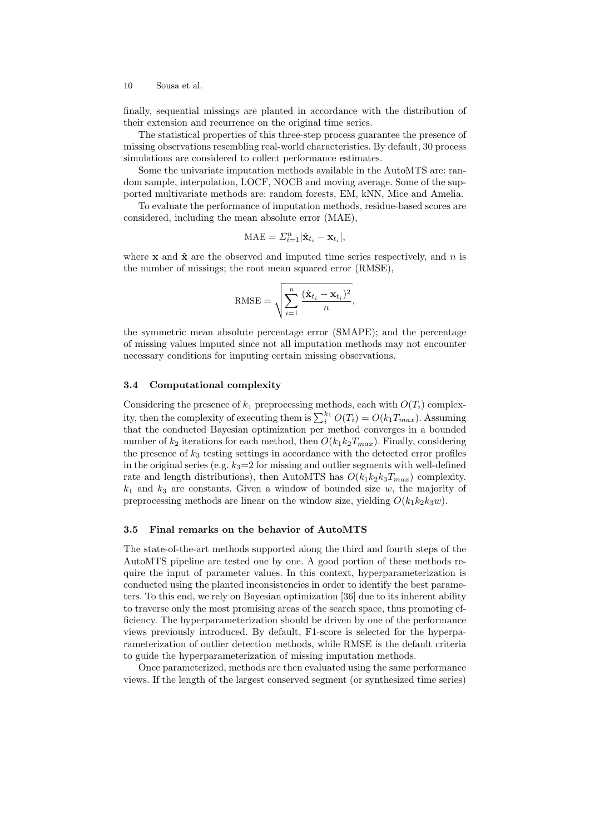finally, sequential missings are planted in accordance with the distribution of their extension and recurrence on the original time series.

The statistical properties of this three-step process guarantee the presence of missing observations resembling real-world characteristics. By default, 30 process simulations are considered to collect performance estimates.

Some the univariate imputation methods available in the AutoMTS are: random sample, interpolation, LOCF, NOCB and moving average. Some of the supported multivariate methods are: random forests, EM, kNN, Mice and Amelia.

To evaluate the performance of imputation methods, residue-based scores are considered, including the mean absolute error (MAE),

$$
\text{MAE} = \sum_{i=1}^{n} |\hat{\mathbf{x}}_{t_i} - \mathbf{x}_{t_i}|,
$$

where  $x$  and  $\hat{x}$  are the observed and imputed time series respectively, and n is the number of missings; the root mean squared error (RMSE),

RMSE = 
$$
\sqrt{\sum_{i=1}^{n} \frac{(\hat{\mathbf{x}}_{t_i} - \mathbf{x}_{t_i})^2}{n}},
$$

the symmetric mean absolute percentage error (SMAPE); and the percentage of missing values imputed since not all imputation methods may not encounter necessary conditions for imputing certain missing observations.

## 3.4 Computational complexity

Considering the presence of  $k_1$  preprocessing methods, each with  $O(T_i)$  complexity, then the complexity of executing them is  $\sum_{i}^{k_1} O(T_i) = O(k_1 T_{max})$ . Assuming that the conducted Bayesian optimization per method converges in a bounded number of  $k_2$  iterations for each method, then  $O(k_1k_2T_{max})$ . Finally, considering the presence of  $k_3$  testing settings in accordance with the detected error profiles in the original series (e.g.  $k_3=2$  for missing and outlier segments with well-defined rate and length distributions), then AutoMTS has  $O(k_1k_2k_3T_{max})$  complexity.  $k_1$  and  $k_3$  are constants. Given a window of bounded size w, the majority of preprocessing methods are linear on the window size, yielding  $O(k_1k_2k_3w)$ .

#### 3.5 Final remarks on the behavior of AutoMTS

The state-of-the-art methods supported along the third and fourth steps of the AutoMTS pipeline are tested one by one. A good portion of these methods require the input of parameter values. In this context, hyperparameterization is conducted using the planted inconsistencies in order to identify the best parameters. To this end, we rely on Bayesian optimization [36] due to its inherent ability to traverse only the most promising areas of the search space, thus promoting efficiency. The hyperparameterization should be driven by one of the performance views previously introduced. By default, F1-score is selected for the hyperparameterization of outlier detection methods, while RMSE is the default criteria to guide the hyperparameterization of missing imputation methods.

Once parameterized, methods are then evaluated using the same performance views. If the length of the largest conserved segment (or synthesized time series)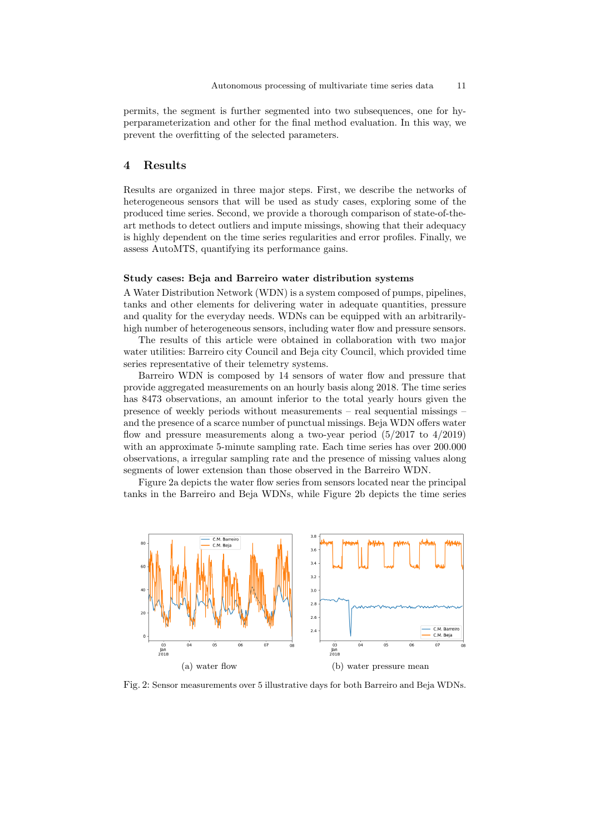permits, the segment is further segmented into two subsequences, one for hyperparameterization and other for the final method evaluation. In this way, we prevent the overfitting of the selected parameters.

## 4 Results

Results are organized in three major steps. First, we describe the networks of heterogeneous sensors that will be used as study cases, exploring some of the produced time series. Second, we provide a thorough comparison of state-of-theart methods to detect outliers and impute missings, showing that their adequacy is highly dependent on the time series regularities and error profiles. Finally, we assess AutoMTS, quantifying its performance gains.

### Study cases: Beja and Barreiro water distribution systems

A Water Distribution Network (WDN) is a system composed of pumps, pipelines, tanks and other elements for delivering water in adequate quantities, pressure and quality for the everyday needs. WDNs can be equipped with an arbitrarilyhigh number of heterogeneous sensors, including water flow and pressure sensors.

The results of this article were obtained in collaboration with two major water utilities: Barreiro city Council and Beja city Council, which provided time series representative of their telemetry systems.

Barreiro WDN is composed by 14 sensors of water flow and pressure that provide aggregated measurements on an hourly basis along 2018. The time series has 8473 observations, an amount inferior to the total yearly hours given the presence of weekly periods without measurements – real sequential missings – and the presence of a scarce number of punctual missings. Beja WDN offers water flow and pressure measurements along a two-year period (5/2017 to 4/2019) with an approximate 5-minute sampling rate. Each time series has over 200.000 observations, a irregular sampling rate and the presence of missing values along segments of lower extension than those observed in the Barreiro WDN.

Figure 2a depicts the water flow series from sensors located near the principal tanks in the Barreiro and Beja WDNs, while Figure 2b depicts the time series



Fig. 2: Sensor measurements over 5 illustrative days for both Barreiro and Beja WDNs.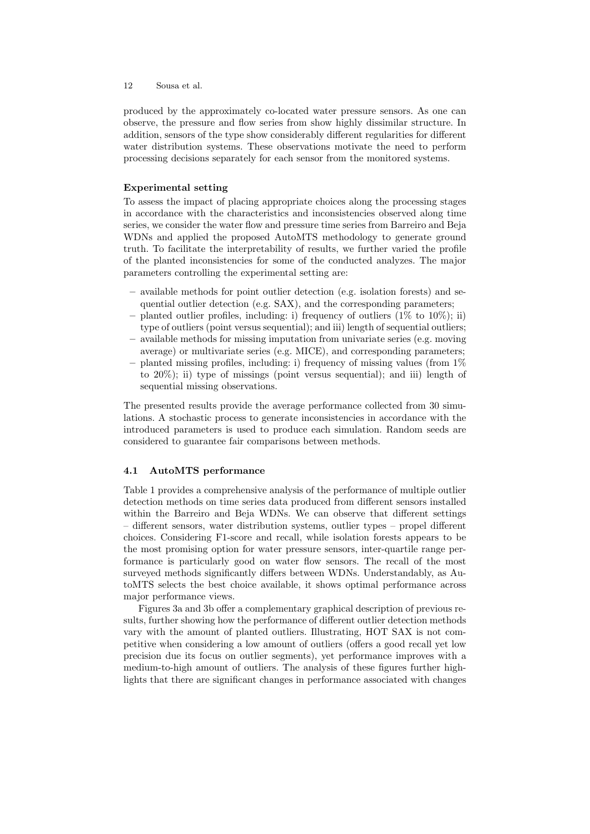produced by the approximately co-located water pressure sensors. As one can observe, the pressure and flow series from show highly dissimilar structure. In addition, sensors of the type show considerably different regularities for different water distribution systems. These observations motivate the need to perform processing decisions separately for each sensor from the monitored systems.

## Experimental setting

To assess the impact of placing appropriate choices along the processing stages in accordance with the characteristics and inconsistencies observed along time series, we consider the water flow and pressure time series from Barreiro and Beja WDNs and applied the proposed AutoMTS methodology to generate ground truth. To facilitate the interpretability of results, we further varied the profile of the planted inconsistencies for some of the conducted analyzes. The major parameters controlling the experimental setting are:

- available methods for point outlier detection (e.g. isolation forests) and sequential outlier detection (e.g. SAX), and the corresponding parameters;
- planted outlier profiles, including: i) frequency of outliers  $(1\%$  to  $10\%)$ ; ii) type of outliers (point versus sequential); and iii) length of sequential outliers;
- available methods for missing imputation from univariate series (e.g. moving average) or multivariate series (e.g. MICE), and corresponding parameters;
- planted missing profiles, including: i) frequency of missing values (from  $1\%$ to  $20\%$ ); ii) type of missings (point versus sequential); and iii) length of sequential missing observations.

The presented results provide the average performance collected from 30 simulations. A stochastic process to generate inconsistencies in accordance with the introduced parameters is used to produce each simulation. Random seeds are considered to guarantee fair comparisons between methods.

## 4.1 AutoMTS performance

Table 1 provides a comprehensive analysis of the performance of multiple outlier detection methods on time series data produced from different sensors installed within the Barreiro and Beja WDNs. We can observe that different settings – different sensors, water distribution systems, outlier types – propel different choices. Considering F1-score and recall, while isolation forests appears to be the most promising option for water pressure sensors, inter-quartile range performance is particularly good on water flow sensors. The recall of the most surveyed methods significantly differs between WDNs. Understandably, as AutoMTS selects the best choice available, it shows optimal performance across major performance views.

Figures 3a and 3b offer a complementary graphical description of previous results, further showing how the performance of different outlier detection methods vary with the amount of planted outliers. Illustrating, HOT SAX is not competitive when considering a low amount of outliers (offers a good recall yet low precision due its focus on outlier segments), yet performance improves with a medium-to-high amount of outliers. The analysis of these figures further highlights that there are significant changes in performance associated with changes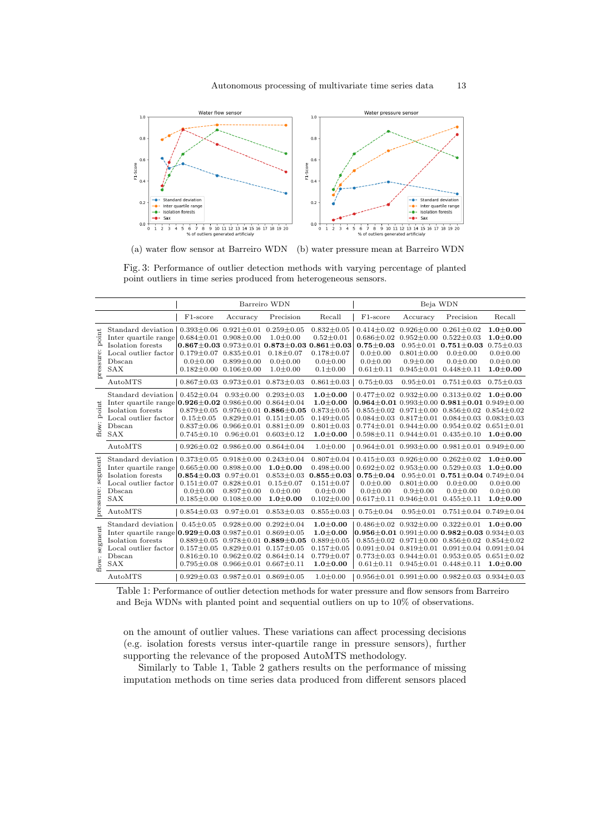

(a) water flow sensor at Barreiro WDN (b) water pressure mean at Barreiro WDN

Fig. 3: Performance of outlier detection methods with varying percentage of planted point outliers in time series produced from heterogeneous sensors.

|                                   |                                                                                                                                                                                            | Barreiro WDN                                                                                                                                                                                          |                  |                                                                                                                                                                                                                                                                                                                 |                                                                                                                                    | Beja WDN                                                                               |                                                                                                                                                                                                      |                                                                                                                                                                                                                                                                         |                                                                                                  |  |
|-----------------------------------|--------------------------------------------------------------------------------------------------------------------------------------------------------------------------------------------|-------------------------------------------------------------------------------------------------------------------------------------------------------------------------------------------------------|------------------|-----------------------------------------------------------------------------------------------------------------------------------------------------------------------------------------------------------------------------------------------------------------------------------------------------------------|------------------------------------------------------------------------------------------------------------------------------------|----------------------------------------------------------------------------------------|------------------------------------------------------------------------------------------------------------------------------------------------------------------------------------------------------|-------------------------------------------------------------------------------------------------------------------------------------------------------------------------------------------------------------------------------------------------------------------------|--------------------------------------------------------------------------------------------------|--|
|                                   |                                                                                                                                                                                            | F1-score                                                                                                                                                                                              | Accuracy         | Precision                                                                                                                                                                                                                                                                                                       | Recall                                                                                                                             | F <sub>1</sub> -score                                                                  | Accuracy                                                                                                                                                                                             | Precision                                                                                                                                                                                                                                                               | Recall                                                                                           |  |
| $\sin t$<br>$\Omega$<br>pressure: | Standard deviation<br>Inter quartile range<br>Isolation forests<br>Local outlier factor<br>Dbscan<br><b>SAX</b><br>AutoMTS                                                                 | $0.393 \pm 0.06$ $0.921 \pm 0.01$<br>$0.684 \pm 0.01$ $0.908 \pm 0.00$<br>$0.179 \pm 0.07$ $0.835 \pm 0.01$<br>$0.0 + 0.00$<br>$0.182 \pm 0.00$ $0.106 \pm 0.00$<br>$0.867 \pm 0.03$ $0.973 \pm 0.01$ | $0.899 \pm 0.00$ | $0.259 \pm 0.05$<br>$1.0 \pm 0.00$<br>$0.867 \pm 0.03$ 0.973 $\pm$ 0.01 0.873 $\pm$ 0.03 0.861 $\pm$ 0.03<br>$0.18 \pm 0.07$<br>$0.0 + 0.00$<br>$1.0 + 0.00$<br>$0.873 \pm 0.03$                                                                                                                                | $0.832 \pm 0.05$<br>$0.52 \pm 0.01$<br>$0.178 \pm 0.07$<br>$0.0 + 0.00$<br>$0.1 \pm 0.00$<br>$0.861 \pm 0.03$                      | $0.75 + 0.03$<br>$0.0 + 0.00$<br>$0.0 + 0.00$<br>$0.61 \pm 0.11$<br>$0.75 \pm 0.03$    | $0.414 \pm 0.02$ $0.926 \pm 0.00$ $0.261 \pm 0.02$<br>$0.686 \pm 0.02$ $0.952 \pm 0.00$ $0.522 \pm 0.03$<br>$0.801 \pm 0.00$<br>$0.9 + 0.00$<br>$0.945 \pm 0.01$ $0.448 \pm 0.11$<br>$0.95 \pm 0.01$ | $0.95 \pm 0.01$ 0.751 $\pm$ 0.03 0.75 $\pm$ 0.03<br>$0.0 + 0.00$<br>$0.0 + 0.00$<br>$0.751 \pm 0.03$                                                                                                                                                                    | $1.0 + 0.00$<br>$1.0 + 0.00$<br>$0.0 + 0.00$<br>$0.0 + 0.00$<br>$1.0 + 0.00$<br>$0.75 \pm 0.03$  |  |
| point<br>flow:                    | Standard deviation<br>Inter quartile range $0.926 \pm 0.02$ 0.986 $\pm$ 0.00 0.864 $\pm$ 0.04<br>Isolation forests<br>Local outlier factor<br>Dbscan<br><b>SAX</b>                         | $0.452 \pm 0.04$ $0.93 \pm 0.00$<br>$0.15 \pm 0.05$<br>$0.837 \pm 0.06$ 0.966 $\pm 0.01$<br>$0.745 \pm 0.10$                                                                                          | $0.96 \pm 0.01$  | $0.293 \pm 0.03$<br>$0.879 \pm 0.05$ $0.976 \pm 0.01$ $0.886 \pm 0.05$<br>$0.829 \pm 0.01$ $0.151 \pm 0.05$<br>$0.881 \pm 0.09$<br>$0.603 \pm 0.12$                                                                                                                                                             | $1.0 + 0.00$<br>$1.0 + 0.00$<br>$0.873 \pm 0.05$<br>$0.149 \pm 0.05$<br>$0.801 \pm 0.03$<br>$1.0 + 0.00$                           | $0.964 \pm 0.01$ $0.993 \pm 0.00$ $0.981 \pm 0.01$ $0.949 \pm 0.00$                    | $0.477 \pm 0.02$ $0.932 \pm 0.00$ $0.313 \pm 0.02$<br>$0.084 \pm 0.03$ $0.817 \pm 0.01$<br>$0.774 \pm 0.01$ $0.944 \pm 0.00$ $0.954 \pm 0.02$<br>$0.598 \pm 0.11$ $0.944 \pm 0.01$ $0.435 \pm 0.10$  | $0.855 \pm 0.02$ $0.971 \pm 0.00$ $0.856 \pm 0.02$<br>$0.084 \pm 0.03$                                                                                                                                                                                                  | $1.0 \pm 0.00$<br>$0.854 \pm 0.02$<br>$0.083 \pm 0.03$<br>$0.651 \pm 0.01$<br>$1.0 + 0.00$       |  |
| segment<br>pressure:              | AutoMTS<br>Standard deviation $\vert 0.373 \pm 0.05 \vert 0.918 \pm 0.00 \vert 0.243 \pm 0.04 \vert$<br>Inter quartile range<br>Isolation forests<br>Local outlier factor<br>Dbscan<br>SAX | $0.665 \pm 0.00$ $0.898 \pm 0.00$<br>$0.854 \pm 0.03$ 0.97 $\pm$ 0.01<br>$0.151 \pm 0.07$ $0.828 \pm 0.01$<br>$0.0 + 0.00$<br>$0.185 \pm 0.00$ $0.108 \pm 0.00$                                       | $0.897 \pm 0.00$ | $0.926 \pm 0.02$ $0.986 \pm 0.00$ $0.864 \pm 0.04$<br>$1.0 + 0.00$<br>$0.853 \pm 0.03$<br>$0.15 \pm 0.07$<br>$0.0 + 0.00$<br>$1.0 + 0.00$                                                                                                                                                                       | $1.0 \pm 0.00$<br>$0.807 \pm 0.04$<br>$0.498 \pm 0.00$<br>$0.855 \pm 0.03$<br>$0.151 \pm 0.07$<br>$0.0 + 0.00$<br>$0.102 \pm 0.00$ | $0.75 \!\pm\! 0.04$<br>$0.0 + 0.00$<br>$0.0 + 0.00$<br>$0.617 \pm 0.11$                | $0.415 \pm 0.03$ $0.926 \pm 0.00$ $0.262 \pm 0.02$<br>$0.692 \pm 0.02$ $0.953 \pm 0.00$ $0.529 \pm 0.03$<br>$0.801 \pm 0.00$<br>$0.9 + 0.00$<br>$0.946 \pm 0.01$                                     | $0.964 \pm 0.01$ $0.993 \pm 0.00$ $0.981 \pm 0.01$<br>$0.95 \pm 0.01$ 0.751 $\pm$ 0.04 0.749 $\pm$ 0.04<br>$0.0 + 0.00$<br>$0.0 + 0.00$<br>$0.455 \pm 0.11$                                                                                                             | $0.949 \pm 0.00$<br>$1.0 + 0.00$<br>$1.0 + 0.00$<br>$0.0 + 0.00$<br>$0.0 + 0.00$<br>$1.0 + 0.00$ |  |
|                                   | AutoMTS                                                                                                                                                                                    | $0.854 \pm 0.03$                                                                                                                                                                                      | $0.97 \pm 0.01$  | $0.853 \pm 0.03$                                                                                                                                                                                                                                                                                                | $0.855 \pm 0.03$                                                                                                                   | $0.75 \pm 0.04$                                                                        | $0.95 \pm 0.01$                                                                                                                                                                                      | $0.751 \pm 0.04$ $0.749 \pm 0.04$                                                                                                                                                                                                                                       |                                                                                                  |  |
| segment<br>flow:                  | Standard deviation<br>Inter quartile range $0.929 \pm 0.03$ 0.987 $\pm$ 0.01 0.869 $\pm$ 0.05<br>Isolation forests<br>Local outlier factor<br>Dbscan<br><b>SAX</b><br>AutoMTS              | $0.45 \pm 0.05$                                                                                                                                                                                       |                  | $0.928 \pm 0.00$ $0.292 \pm 0.04$<br>$0.889 \pm 0.05$ $0.978 \pm 0.01$ $0.889 \pm 0.05$<br>$0.157 \pm 0.05$ $0.829 \pm 0.01$ $0.157 \pm 0.05$<br>$0.816 \pm 0.10$ $0.962 \pm 0.02$ $0.864 \pm 0.14$<br>$0.795 \pm 0.08$ $0.966 \pm 0.01$ $0.667 \pm 0.11$<br>$0.929 \pm 0.03$ $0.987 \pm 0.01$ $0.869 \pm 0.05$ | $1.0 \pm 0.00$<br>$1.0 + 0.00$<br>$0.889 \pm 0.05$<br>$0.157 \pm 0.05$<br>$0.779 \pm 0.07$<br>$1.0 + 0.00$<br>$1.0 \pm 0.00$       | $0.956 \pm 0.01$ $0.991 \pm 0.00$ $0.982 \pm 0.03$ $0.934 \pm 0.03$<br>$0.61 \pm 0.11$ | $0.486 \pm 0.02$ $0.932 \pm 0.00$ $0.322 \pm 0.01$<br>$0.945 \pm 0.01$ $0.448 \pm 0.11$                                                                                                              | $0.855 \pm 0.02$ $0.971 \pm 0.00$ $0.856 \pm 0.02$ $0.854 \pm 0.02$<br>$0.091 \pm 0.04$ $0.819 \pm 0.01$ $0.091 \pm 0.04$ $0.091 \pm 0.04$<br>$0.773 \pm 0.03$ $0.944 \pm 0.01$ $0.953 \pm 0.05$<br>$0.956 \pm 0.01$ $0.991 \pm 0.00$ $0.982 \pm 0.03$ $0.934 \pm 0.03$ | $1.0{\pm}0.00$<br>$0.651 \pm 0.02$<br>$1.0 + 0.00$                                               |  |

Table 1: Performance of outlier detection methods for water pressure and flow sensors from Barreiro and Beja WDNs with planted point and sequential outliers on up to 10% of observations.

on the amount of outlier values. These variations can affect processing decisions (e.g. isolation forests versus inter-quartile range in pressure sensors), further supporting the relevance of the proposed AutoMTS methodology.

Similarly to Table 1, Table 2 gathers results on the performance of missing imputation methods on time series data produced from different sensors placed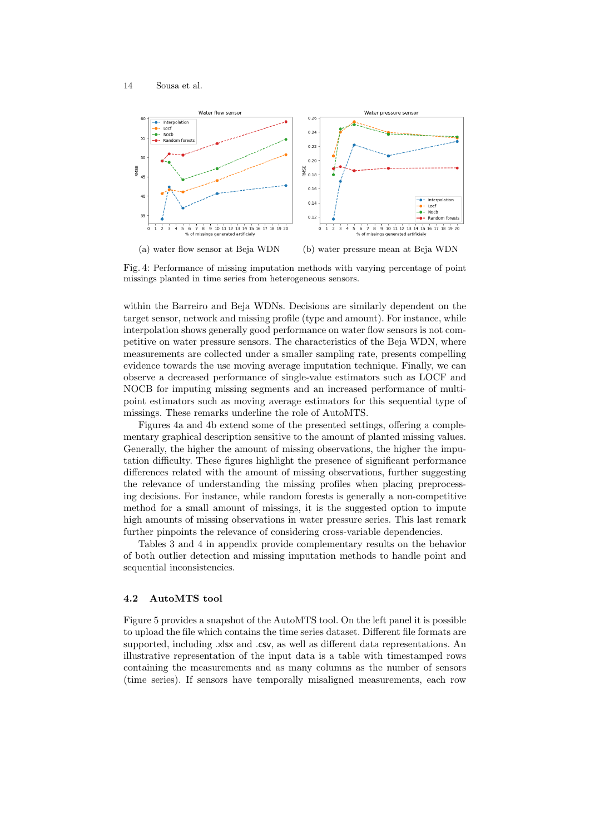

Fig. 4: Performance of missing imputation methods with varying percentage of point missings planted in time series from heterogeneous sensors.

within the Barreiro and Beja WDNs. Decisions are similarly dependent on the target sensor, network and missing profile (type and amount). For instance, while interpolation shows generally good performance on water flow sensors is not competitive on water pressure sensors. The characteristics of the Beja WDN, where measurements are collected under a smaller sampling rate, presents compelling evidence towards the use moving average imputation technique. Finally, we can observe a decreased performance of single-value estimators such as LOCF and NOCB for imputing missing segments and an increased performance of multipoint estimators such as moving average estimators for this sequential type of missings. These remarks underline the role of AutoMTS.

Figures 4a and 4b extend some of the presented settings, offering a complementary graphical description sensitive to the amount of planted missing values. Generally, the higher the amount of missing observations, the higher the imputation difficulty. These figures highlight the presence of significant performance differences related with the amount of missing observations, further suggesting the relevance of understanding the missing profiles when placing preprocessing decisions. For instance, while random forests is generally a non-competitive method for a small amount of missings, it is the suggested option to impute high amounts of missing observations in water pressure series. This last remark further pinpoints the relevance of considering cross-variable dependencies.

Tables 3 and 4 in appendix provide complementary results on the behavior of both outlier detection and missing imputation methods to handle point and sequential inconsistencies.

# 4.2 AutoMTS tool

Figure 5 provides a snapshot of the AutoMTS tool. On the left panel it is possible to upload the file which contains the time series dataset. Different file formats are supported, including .xlsx and .csv, as well as different data representations. An illustrative representation of the input data is a table with timestamped rows containing the measurements and as many columns as the number of sensors (time series). If sensors have temporally misaligned measurements, each row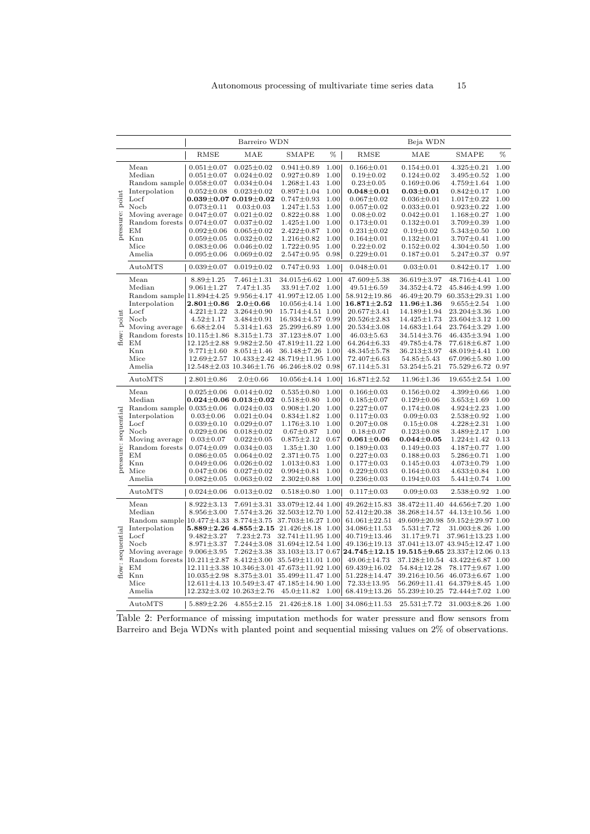|                  |                |                                    | Barreiro WDN                        |                                                                                                        |      | Beja WDN                                                                                 |                                            |                                           |      |
|------------------|----------------|------------------------------------|-------------------------------------|--------------------------------------------------------------------------------------------------------|------|------------------------------------------------------------------------------------------|--------------------------------------------|-------------------------------------------|------|
|                  |                | RMSE                               | MAE                                 | SMAPE                                                                                                  | %    | RMSE                                                                                     | MAE                                        | SMAPE                                     | %    |
|                  | Mean           | $0.051 \pm 0.07$                   | $0.025 \pm 0.02$                    | $0.941 \pm 0.89$                                                                                       | 1.00 | $0.166 \pm 0.01$                                                                         | $0.154 \pm 0.01$                           | $4.325 \pm 0.21$                          | 1.00 |
|                  | Median         | $0.051 \pm 0.07$                   | $0.024 \pm 0.02$                    | $0.927 \pm 0.89$                                                                                       | 1.00 | $0.19 \pm 0.02$                                                                          | $0.124 \pm 0.02$                           | $3.495 \pm 0.52$                          | 1.00 |
|                  | Random sample  | $0.058 \pm 0.07$                   | $0.034 \pm 0.04$                    | $1.268 \pm 1.43$                                                                                       | 1.00 | $0.23 \pm 0.05$                                                                          | $0.169 \pm 0.06$                           | $4.759 \pm 1.64$                          | 1.00 |
|                  | Interpolation  | $0.052 \pm 0.08$                   | $0.023 \pm 0.02$                    | $0.897 \pm 1.04$                                                                                       | 1.00 | $0.048 \pm 0.01$                                                                         | $0.03 \pm 0.01$                            | $0.842 \pm 0.17$                          | 1.00 |
|                  | Locf           |                                    | $0.039{\pm0.07}$ $0.019{\pm0.02}$   | $0.747 \pm 0.93$                                                                                       | 1.00 | $0.067 \pm 0.02$                                                                         | $0.036 \pm 0.01$                           | $1.017 \pm 0.22$                          | 1.00 |
|                  | Nocb           | $0.073 \pm 0.11$                   | $0.03 \pm 0.03$                     | $1.247 \pm 1.53$                                                                                       | 1.00 | $0.057 \pm 0.02$                                                                         | $0.033 \pm 0.01$                           | $0.923 \pm 0.22$                          | 1.00 |
| pressure: point  | Moving average | $0.047 \pm 0.07$                   | $0.021 \pm 0.02$                    | $0.822 \pm 0.88$                                                                                       | 1.00 | $0.08 + 0.02$                                                                            | $0.042 \pm 0.01$                           | $1.168 \pm 0.27$                          | 1.00 |
|                  | Random forests | $0.074 \pm 0.07$                   | $0.037 \pm 0.02$                    | $1.425 \pm 1.00$                                                                                       | 1.00 | $0.173 \pm 0.01$                                                                         | $0.132 \pm 0.01$                           | $3.709 \pm 0.39$                          | 1.00 |
|                  | EM             | $0.092 \pm 0.06$                   | $0.065 \pm 0.02$                    | $2.422 \pm 0.87$                                                                                       | 1.00 | $0.231 \pm 0.02$                                                                         | $0.19 + 0.02$                              | $5.343 \pm 0.50$                          | 1.00 |
|                  | Knn            | $0.059 \pm 0.05$                   | $0.032 \pm 0.02$                    | $1.216 \pm 0.82$                                                                                       | 1.00 | $0.164 \pm 0.01$                                                                         | $0.132 \pm 0.01$                           | $3.707 \pm 0.41$                          | 1.00 |
|                  | Mice           | $0.083 \pm 0.06$                   | $0.046 \pm 0.02$                    | $1.722 \pm 0.95$                                                                                       | 1.00 | $0.22 \pm 0.02$                                                                          | $0.152 \pm 0.02$                           | $4.304 \pm 0.50$                          | 1.00 |
|                  | Amelia         | $0.095 \pm 0.06$                   | $0.069 \pm 0.02$                    | $2.547 \pm 0.95$                                                                                       | 0.98 | $0.229 \pm 0.01$                                                                         | $0.187 + 0.01$                             | $5.247 \pm 0.37$                          | 0.97 |
|                  | AutoMTS        | $0.039 \pm 0.07$                   | $0.019 \pm 0.02$                    | $0.747 \pm 0.93$                                                                                       | 1.00 | $0.048 + 0.01$                                                                           | $0.03 \pm 0.01$                            | $0.842 \pm 0.17$                          | 1.00 |
|                  | Mean           | $8.89 \pm 1.25$                    | $7.461 \pm 1.31$                    | 34.015±6.62 1.00                                                                                       |      | $47.609 \pm 5.38$                                                                        | $36.619 \pm 3.97$                          | 48.716±4.41                               | 1.00 |
|                  | Median         | $9.061 \pm 1.27$                   | $7.47 \pm 1.35$                     | $33.91 \pm 7.02$ 1.00                                                                                  |      | $49.51 \pm 6.59$                                                                         | 34.352 $\pm$ 4.72                          | $45.846 \pm 4.99$ 1.00                    |      |
|                  | Random sample  | $11.894 \pm 4.25$                  |                                     | $9.956 \pm 4.17$ $41.997 \pm 12.05$ 1.00                                                               |      | 58.912±19.86                                                                             | $46.49 \pm 20.79$                          | 60.353±29.31 1.00                         |      |
|                  | Interpolation  | $\boldsymbol{ 2.801 \pm 0.86 }$    | $2.0 \pm 0.66$                      | $10.056 \pm 4.14$ 1.00                                                                                 |      | $16.871 \pm 2.52$                                                                        | $11.96 \pm 1.36$                           | $9.655 \pm 2.54$                          | 1.00 |
|                  | Locf           | $4.221 \pm 1.22$                   | $3.264 \pm 0.90$                    | $15.714 \pm 4.51$ 1.00                                                                                 |      | $20.677 \pm 3.41$                                                                        | 14.189±1.94                                | $23.204 \pm 3.36$                         | 1.00 |
| flow: point      | Nocb           | $4.52 \pm 1.17$                    | $3.484 \pm 0.91$                    | 16.934±4.57 0.99                                                                                       |      | $20.526 \pm 2.83$                                                                        | $14.425 \pm 1.73$                          | $23.604 \pm 3.12$ 1.00                    |      |
|                  | Moving average | $6.68 \pm 2.04$                    | $5.314 \pm 1.63$                    | $25.299\pm 6.89$ 1.00                                                                                  |      | $20.534 \pm 3.08$                                                                        | 14.683±1.64                                | $23.764 \pm 3.29$                         | 1.00 |
|                  | Random forests | $10.115 \pm 1.86$ 8.315 $\pm 1.73$ |                                     | 37.123±8.07 1.00                                                                                       |      | $46.03 \pm 5.63$                                                                         | $34.514 \pm 3.76$                          | $46.435 \pm 3.94$ 1.00                    |      |
|                  | ΕM             | 12.125±2.88                        | $9.982 \pm 2.50$                    | 47.819±11.22 1.00                                                                                      |      | $64.264 \pm 6.33$                                                                        | 49.785±4.78                                | 77.618 $\pm$ 6.87                         | 1.00 |
|                  | Knn            | $9.771 \pm 1.60$                   | $8.051 \pm 1.46$                    | $36.148 \pm 7.26$ 1.00                                                                                 |      | $48.345 \pm 5.78$                                                                        | $36.213 \pm 3.97$                          | $48.019 \pm 4.41$ 1.00                    |      |
|                  | Mice           |                                    |                                     | $12.69 \pm 2.57$ $10.433 \pm 2.42$ $48.719 \pm 11.95$ $1.00$                                           |      | 72.407±6.63                                                                              | $54.85 \pm 5.43$                           | $67.096 \pm 5.80$ 1.00                    |      |
|                  | Amelia         |                                    |                                     | $12.548 \pm 2.03$ $10.346 \pm 1.76$ $46.246 \pm 8.02$ 0.98                                             |      | $67.114 \pm 5.31$                                                                        | $53.254 \pm 5.21$                          | 75.529 $\pm$ 6.72                         | 0.97 |
|                  | AutoMTS        | $2.801 \pm 0.86$                   | $2.0 \pm 0.66$                      | $10.056 \pm 4.14$ 1.00                                                                                 |      | $16.871 \pm 2.52$                                                                        | $11.96 \pm 1.36$                           | $19.655 \pm 2.54$                         | 1.00 |
|                  | Mean           | $0.025 \pm 0.06$                   | $0.014 \pm 0.02$                    | $0.535 \pm 0.80$                                                                                       | 1.00 | $0.166 \pm 0.03$                                                                         | $0.156 \pm 0.02$                           | $4.399 \pm 0.66$                          | 1.00 |
|                  | Median         |                                    | $0.024{\pm0.06}$ $0.013{\pm0.02}$   | $0.518 \pm 0.80$                                                                                       | 1.00 | $0.185 \pm 0.07$                                                                         | $0.129 \pm 0.06$                           | $3.653 \pm 1.69$                          | 1.00 |
|                  | Random sample  | $0.035 \pm 0.06$                   | $0.024 \pm 0.03$                    | $0.908 \pm 1.20$                                                                                       | 1.00 | $0.227 \pm 0.07$                                                                         | $0.174 \pm 0.08$                           | $4.924 \pm 2.23$                          | 1.00 |
|                  | Interpolation  | $0.03 \pm 0.06$                    | $0.021 \pm 0.04$                    | $0.834 \pm 1.82$                                                                                       | 1.00 | $0.117 \pm 0.03$                                                                         | $0.09 \pm 0.03$                            | $2.538 \pm 0.92$                          | 1.00 |
|                  | Locf           | $0.039 \pm 0.10$                   | $0.029 \pm 0.07$                    | $1.176 \pm 3.10$                                                                                       | 1.00 | $0.207 \pm 0.08$                                                                         | $0.15 \pm 0.08$                            | $4.228 \pm 2.31$                          | 1.00 |
| sequential       | Noch           | $0.029 \pm 0.06$                   | $0.018 \pm 0.02$                    | $0.67 \pm 0.87$                                                                                        | 1.00 | $0.18 + 0.07$                                                                            | $0.123 \pm 0.08$                           | $3.489 \pm 2.17$                          | 1.00 |
|                  | Moving average | $0.03 \pm 0.07$                    | $0.022 \pm 0.05$                    | $0.875 \pm 2.12$                                                                                       | 0.67 | $0.061 \pm 0.06$                                                                         | $0.044 \pm 0.05$                           | $1.224 \pm 1.42$                          | 0.13 |
|                  | Random forests | $0.074 \pm 0.09$                   | $0.034 \pm 0.03$                    | $1.35 \pm 1.30$                                                                                        | 1.00 | $0.189 \pm 0.03$                                                                         | $0.149 \pm 0.03$                           | $4.187 \pm 0.77$                          | 1.00 |
| pressure:        | EM             | $0.086 \pm 0.05$                   | $0.064 \pm 0.02$                    | $2.371 \pm 0.75$                                                                                       | 1.00 | $0.227 \pm 0.03$                                                                         | $0.188 \pm 0.03$                           | $5.286 \pm 0.71$                          | 1.00 |
|                  | Knn            | $0.049 \pm 0.06$                   | $0.026 \pm 0.02$                    | $1.013 \pm 0.83$                                                                                       | 1.00 | $0.177 \pm 0.03$                                                                         | $0.145 \pm 0.03$                           | $4.073 \pm 0.79$                          | 1.00 |
|                  | Mice           | $0.047 \pm 0.06$                   | $0.027 \pm 0.02$                    | $0.994 \pm 0.81$                                                                                       | 1.00 | $0.229 \pm 0.03$                                                                         | $0.164 \pm 0.03$                           | $4.633 \pm 0.84$                          | 1.00 |
|                  | Amelia         | $0.082 \pm 0.05$                   | $0.063 \pm 0.02$                    | $2.302 \pm 0.88$                                                                                       | 1.00 | $0.236 \pm 0.03$                                                                         | $0.194 \pm 0.03$                           | $5.441 \pm 0.74$                          | 1.00 |
|                  | AutoMTS        | $0.024 \pm 0.06$                   | $0.013 \pm 0.02$                    | $0.518 \pm 0.80$                                                                                       | 1.00 | $0.117 \pm 0.03$                                                                         | $0.09 \pm 0.03$                            | $2.538 \pm 0.92$                          | 1.00 |
|                  | Mean           | $8.922 \pm 3.13$                   | $7.691 \pm 3.31$                    | $33.079 \pm 12.44$ 1.00                                                                                |      | $49.262 \pm 15.83$                                                                       |                                            | $38.472 \pm 11.40$ $44.656 \pm 7.20$ 1.00 |      |
|                  | Median         | $8.956 \pm 3.00$                   | $7.574 \pm 3.26$                    | $32.503 \pm 12.70$ 1.00                                                                                |      | $52.412 \pm 20.38$                                                                       | $38.268 \pm 14.57$ $44.13 \pm 10.56$ 1.00  |                                           |      |
|                  | Random sample  | $10.477 \pm 4.33$ 8.774 $\pm 3.75$ |                                     | $37.703 \pm 16.27$ 1.00                                                                                |      | $61.061 \pm 22.51$                                                                       | $49.609 \pm 20.98$ 59.152 $\pm$ 29.97 1.00 |                                           |      |
|                  | Interpolation  |                                    |                                     | $\textbf{5.889} \!\pm\! 2.26$ $\textbf{4.855} \!\pm\! 2.15$ $\text{21.426} \!\pm\! 8.18$ $\text{1.00}$ |      | 34.086±11.53                                                                             | $5.531 \pm 7.72$                           | $31.003 \pm 8.26$ 1.00                    |      |
|                  | Locf           | $9.482 \pm 3.27$                   | $7.23 \pm 2.73$                     | $32.741 \pm 11.95$ 1.00                                                                                |      | $40.719 \pm 13.46$                                                                       | $31.17 \pm 9.71$                           | $37.961 \pm 13.23$ 1.00                   |      |
| flow: sequential | Noch           | $8.971 \pm 3.37$                   |                                     | $7.244 \pm 3.08$ 31.694 $\pm$ 12.54 1.00                                                               |      | $49.136 \pm 19.13$                                                                       | $37.041 \pm 13.07$ $43.945 \pm 12.47$ 1.00 |                                           |      |
|                  | Moving average | $9.006 \pm 3.95$                   | $7.262 \pm 3.38$                    |                                                                                                        |      | $33.103 \pm 13.17$ $0.67$   24.745 $\pm$ 12.15 19.515 $\pm$ 9.65 23.337 $\pm$ 12.06 0.13 |                                            |                                           |      |
|                  | Random forests |                                    |                                     | $10.211 \pm 2.87$ 8.412 $\pm 3.00$ 35.549 $\pm 11.01$ 1.00                                             |      | $49.06 \pm 14.73$                                                                        |                                            | 37.128±10.54 43.422±6.87 1.00             |      |
|                  | EM             |                                    |                                     | 12.111±3.38 10.346±3.01 47.673±11.92 1.00                                                              |      | 69.439±16.02                                                                             | $54.84 \pm 12.28$                          | $78.177 \pm 9.67$ 1.00                    |      |
|                  | Knn            |                                    |                                     | $10.035 \pm 2.98$ 8.375 $\pm$ 3.01 35.499 $\pm$ 11.47 1.00                                             |      | $51.228 \pm 14.47$                                                                       | $39.216 \pm 10.56$                         | $46.073\pm6.67$                           | 1.00 |
|                  | Mice           |                                    |                                     | $12.611 \pm 4.13$ $10.549 \pm 3.47$ $47.185 \pm 14.90$ $1.00$                                          |      | $72.33 \pm 13.95$                                                                        | $56.269 \pm 11.41$                         | $64.379 \pm 8.45$                         | 1.00 |
|                  | Amelia         |                                    | $12.232 \pm 3.02$ $10.263 \pm 2.76$ | $45.0 \pm 11.82$                                                                                       | 1.00 | 68.419±13.26                                                                             | $55.239 \pm 10.25$                         | 72.444±7.02                               | 1.00 |
|                  | AutoMTS        | $5.889 \pm 2.26$                   | $4.855 \pm 2.15$                    |                                                                                                        |      | $21.426 \pm 8.18$ 1.00 34.086 $\pm 11.53$                                                | $25.531 \pm 7.72$                          | $31.003 \pm 8.26$ 1.00                    |      |

Table 2: Performance of missing imputation methods for water pressure and flow sensors from Barreiro and Beja WDNs with planted point and sequential missing values on 2% of observations.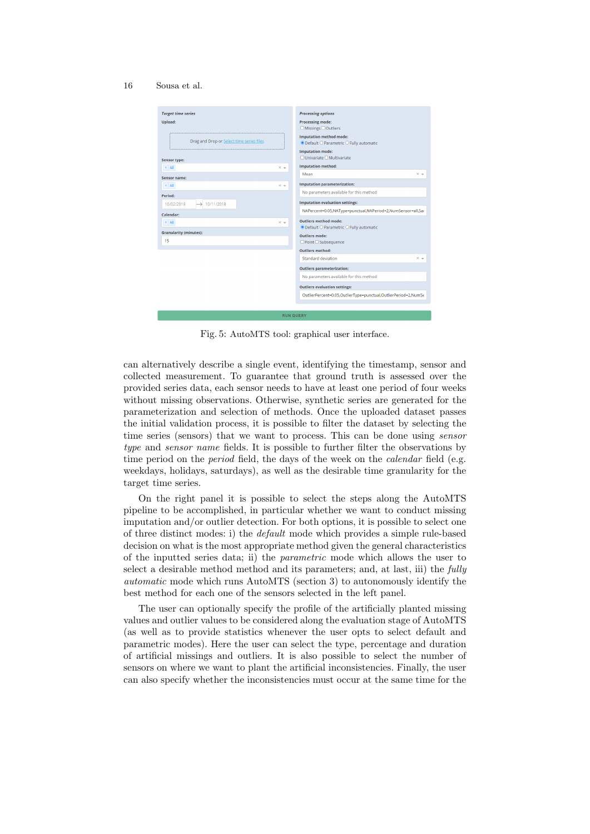

Fig. 5: AutoMTS tool: graphical user interface.

can alternatively describe a single event, identifying the timestamp, sensor and collected measurement. To guarantee that ground truth is assessed over the provided series data, each sensor needs to have at least one period of four weeks without missing observations. Otherwise, synthetic series are generated for the parameterization and selection of methods. Once the uploaded dataset passes the initial validation process, it is possible to filter the dataset by selecting the time series (sensors) that we want to process. This can be done using *sensor* type and sensor name fields. It is possible to further filter the observations by time period on the *period* field, the days of the week on the *calendar* field (e.g. weekdays, holidays, saturdays), as well as the desirable time granularity for the target time series.

On the right panel it is possible to select the steps along the AutoMTS pipeline to be accomplished, in particular whether we want to conduct missing imputation and/or outlier detection. For both options, it is possible to select one of three distinct modes: i) the default mode which provides a simple rule-based decision on what is the most appropriate method given the general characteristics of the inputted series data; ii) the parametric mode which allows the user to select a desirable method method and its parameters; and, at last, iii) the fully automatic mode which runs AutoMTS (section 3) to autonomously identify the best method for each one of the sensors selected in the left panel.

The user can optionally specify the profile of the artificially planted missing values and outlier values to be considered along the evaluation stage of AutoMTS (as well as to provide statistics whenever the user opts to select default and parametric modes). Here the user can select the type, percentage and duration of artificial missings and outliers. It is also possible to select the number of sensors on where we want to plant the artificial inconsistencies. Finally, the user can also specify whether the inconsistencies must occur at the same time for the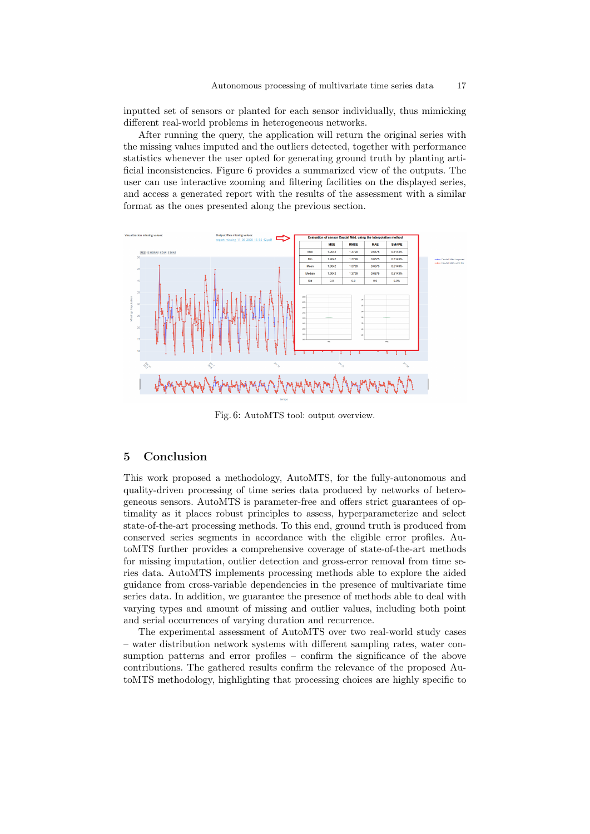inputted set of sensors or planted for each sensor individually, thus mimicking different real-world problems in heterogeneous networks.

After running the query, the application will return the original series with the missing values imputed and the outliers detected, together with performance statistics whenever the user opted for generating ground truth by planting artificial inconsistencies. Figure 6 provides a summarized view of the outputs. The user can use interactive zooming and filtering facilities on the displayed series, and access a generated report with the results of the assessment with a similar format as the ones presented along the previous section.



Fig. 6: AutoMTS tool: output overview.

# 5 Conclusion

This work proposed a methodology, AutoMTS, for the fully-autonomous and quality-driven processing of time series data produced by networks of heterogeneous sensors. AutoMTS is parameter-free and offers strict guarantees of optimality as it places robust principles to assess, hyperparameterize and select state-of-the-art processing methods. To this end, ground truth is produced from conserved series segments in accordance with the eligible error profiles. AutoMTS further provides a comprehensive coverage of state-of-the-art methods for missing imputation, outlier detection and gross-error removal from time series data. AutoMTS implements processing methods able to explore the aided guidance from cross-variable dependencies in the presence of multivariate time series data. In addition, we guarantee the presence of methods able to deal with varying types and amount of missing and outlier values, including both point and serial occurrences of varying duration and recurrence.

The experimental assessment of AutoMTS over two real-world study cases – water distribution network systems with different sampling rates, water consumption patterns and error profiles – confirm the significance of the above contributions. The gathered results confirm the relevance of the proposed AutoMTS methodology, highlighting that processing choices are highly specific to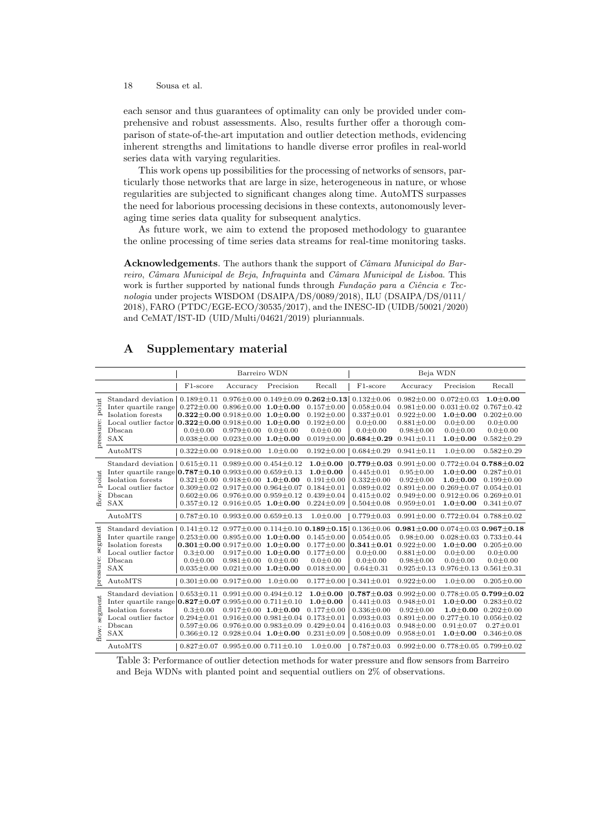each sensor and thus guarantees of optimality can only be provided under comprehensive and robust assessments. Also, results further offer a thorough comparison of state-of-the-art imputation and outlier detection methods, evidencing inherent strengths and limitations to handle diverse error profiles in real-world series data with varying regularities.

This work opens up possibilities for the processing of networks of sensors, particularly those networks that are large in size, heterogeneous in nature, or whose regularities are subjected to significant changes along time. AutoMTS surpasses the need for laborious processing decisions in these contexts, autonomously leveraging time series data quality for subsequent analytics.

As future work, we aim to extend the proposed methodology to guarantee the online processing of time series data streams for real-time monitoring tasks.

Acknowledgements. The authors thank the support of *Câmara Municipal do Bar*reiro, Câmara Municipal de Beja, Infraquinta and Câmara Municipal de Lisboa. This work is further supported by national funds through Fundação para a Ciência e Tecnologia under projects WISDOM (DSAIPA/DS/0089/2018), ILU (DSAIPA/DS/0111/ 2018), FARO (PTDC/EGE-ECO/30535/2017), and the INESC-ID (UIDB/50021/2020) and CeMAT/IST-ID (UID/Multi/04621/2019) pluriannuals.

|                                                |                                                                                                                                                                  | Barreiro WDN                                                                                                                                                                                                                                                                                                                                     |                                                     |                |                                                                                                                                                                       | Beja WDN                                                                                                                                             |                                                                                                                     |                                                                                                           |                                                                                                                                                                      |  |
|------------------------------------------------|------------------------------------------------------------------------------------------------------------------------------------------------------------------|--------------------------------------------------------------------------------------------------------------------------------------------------------------------------------------------------------------------------------------------------------------------------------------------------------------------------------------------------|-----------------------------------------------------|----------------|-----------------------------------------------------------------------------------------------------------------------------------------------------------------------|------------------------------------------------------------------------------------------------------------------------------------------------------|---------------------------------------------------------------------------------------------------------------------|-----------------------------------------------------------------------------------------------------------|----------------------------------------------------------------------------------------------------------------------------------------------------------------------|--|
|                                                |                                                                                                                                                                  | F1-score                                                                                                                                                                                                                                                                                                                                         | Accuracy                                            | Precision      | Recall                                                                                                                                                                | F <sub>1</sub> -score                                                                                                                                | Accuracy                                                                                                            | Precision                                                                                                 | Recall                                                                                                                                                               |  |
| oint<br>$\mathbf{a}$                           | Standard deviation<br>Inter quartile range<br>Isolation forests<br>Local outlier factor $0.322 \pm 0.00$ 0.918 $\pm$ 0.00 1.0 $\pm$ 0.00<br>Dbscan<br><b>SAX</b> | $0.272 \pm 0.00$ $0.896 \pm 0.00$ $1.0 \pm 0.00$<br>$0.322 \pm 0.00$ $0.918 \pm 0.00$ $1.0 \pm 0.00$<br>$0.0 + 0.00$<br>$0.038 \pm 0.00$ $0.023 \pm 0.00$ $1.0 \pm 0.00$                                                                                                                                                                         | $0.979 \pm 0.00$                                    | $0.0 + 0.00$   | $0.189 \pm 0.11$ $0.976 \pm 0.00$ $0.149 \pm 0.09$ $0.262 \pm 0.13$<br>$0.157 \pm 0.00$<br>$0.192 \pm 0.00$<br>$0.192 \pm 0.00$<br>$0.0 \pm 0.00$                     | $0.132 \pm 0.06$<br>$0.058 \pm 0.04$<br>$0.337 \pm 0.01$<br>$0.0 + 0.00$<br>$0.0 \pm 0.00$<br>$0.019 \pm 0.00$ 0.684 $\pm$ 0.29                      | $0.982 \pm 0.00$<br>$0.981 \pm 0.00$<br>$0.922 \pm 0.00$<br>$0.881 \pm 0.00$<br>$0.98 + 0.00$<br>$0.941 \pm 0.11$   | $0.072 \pm 0.03$<br>$0.031 \pm 0.02$<br>$1.0 + 0.00$<br>$0.0 + 0.00$<br>$0.0 + 0.00$<br>$1.0 + 0.00$      | $1.0 + 0.00$<br>$0.767 \pm 0.42$<br>$0.202 \pm 0.00$<br>$0.0 + 0.00$<br>$0.0 + 0.00$<br>$0.582 \pm 0.29$                                                             |  |
|                                                | AutoMTS                                                                                                                                                          | $0.322 \pm 0.00$ $0.918 \pm 0.00$                                                                                                                                                                                                                                                                                                                |                                                     | $1.0 \pm 0.00$ | $0.192 \pm 0.00$                                                                                                                                                      | $0.684 \pm 0.29$                                                                                                                                     | $0.941 \pm 0.11$                                                                                                    | $1.0 \pm 0.00$                                                                                            | $0.582 \pm 0.29$                                                                                                                                                     |  |
| oint<br>$\mathbf{a}$<br>flow:                  | Standard deviation<br>Inter quartile range<br>Isolation forests<br>Local outlier factor<br>Dbscan<br><b>SAX</b>                                                  | $0.615 \pm 0.11$ $0.989 \pm 0.00$ $0.454 \pm 0.12$<br>$0.787 \pm 0.10$ 0.993 $\pm$ 0.00 0.659 $\pm$ 0.13<br>$0.321 \pm 0.00$ $0.918 \pm 0.00$ $1.0 \pm 0.00$<br>$0.309 \pm 0.02$ $0.917 \pm 0.00$ $0.964 \pm 0.07$<br>$0.602 \pm 0.06$ 0.976 $\pm$ 0.00 0.959 $\pm$ 0.12<br>$0.357 \pm 0.12$ $0.916 \pm 0.05$ $1.0 \pm 0.00$                     |                                                     |                | $1.0 + 0.00$<br>$1.0 + 0.00$<br>$0.191 \pm 0.00$<br>$0.184 \pm 0.01$<br>$0.439 \pm 0.04$<br>$0.224 \pm 0.09$                                                          | $\bm{ 0.779\pm0.03 }$<br>$0.445 \pm 0.01$<br>$0.332 \pm 0.00$<br>$0.089 \pm 0.02$<br>$0.415 \pm 0.02$<br>$0.504 \pm 0.08$                            | $0.991 \pm 0.00$<br>$0.95 \pm 0.00$<br>$0.92 \pm 0.00$<br>$0.891 \pm 0.00$<br>$0.949 \pm 0.00$<br>$0.959 \pm 0.01$  | $1.0{\pm}0.00$<br>$1.0{\pm}0.00$<br>$0.912 \pm 0.06$ $0.269 \pm 0.01$<br>$1.0 \pm 0.00$                   | $0.772 \pm 0.04$ 0.788 $\pm$ 0.02<br>$0.287 \pm 0.01$<br>$0.199 \pm 0.00$<br>$0.269 \pm 0.07$ $0.054 \pm 0.01$<br>$0.341 \pm 0.07$                                   |  |
|                                                | AutoMTS                                                                                                                                                          | $0.787 \pm 0.10$ $0.993 \pm 0.00$ $0.659 \pm 0.13$                                                                                                                                                                                                                                                                                               |                                                     |                | $1.0 \pm 0.00$                                                                                                                                                        | $0.779 \pm 0.03$                                                                                                                                     |                                                                                                                     | $0.991 \pm 0.00$ $0.772 \pm 0.04$ $0.788 \pm 0.02$                                                        |                                                                                                                                                                      |  |
| segment                                        | Standard deviation<br>Inter quartile range<br>Isolation forests<br>Local outlier factor<br>Dbscan<br><b>SAX</b>                                                  | $0.253 \pm 0.00$ $0.895 \pm 0.00$ $1.0 \pm 0.00$<br>$0.301 \pm 0.00$ $0.917 \pm 0.00$ $1.0 \pm 0.00$<br>$0.3 \pm 0.00$<br>$0.0 + 0.00$<br>$0.035 \pm 0.00$ $0.021 \pm 0.00$ $1.0 \pm 0.00$                                                                                                                                                       | $0.917 \pm 0.00$ 1.0 $\pm$ 0.00<br>$0.981 \pm 0.00$ | $0.0 \pm 0.00$ | $0.141 \pm 0.12$ $0.977 \pm 0.00$ $0.114 \pm 0.10$ $0.189 \pm 0.15$<br>$0.145 \pm 0.00$<br>$0.177 \pm 0.00$<br>$0.177 \pm 0.00$<br>$0.0 \pm 0.00$<br>$0.018 \pm 0.00$ | $0.054 \pm 0.05$<br>$0.341 \!\pm\! 0.01$<br>$0.0 + 0.00$<br>$0.0 + 0.00$<br>$0.64 \pm 0.31$                                                          | $0.98 + 0.00$<br>$0.922 \pm 0.00$<br>$0.881 \pm 0.00$<br>$0.98 + 0.00$<br>$0.925 \pm 0.13$                          | $1.0 \pm 0.00$<br>$0.0 + 0.00$<br>$0.0 + 0.00$<br>$0.976 \pm 0.13$ $0.561 \pm 0.31$                       | $0.136 \pm 0.06$ 0.981 $\pm$ 0.00 0.074 $\pm$ 0.03 0.967 $\pm$ 0.18<br>$0.028 \pm 0.03$ $0.733 \pm 0.44$<br>$0.205 \pm 0.00$<br>$0.0 + 0.00$<br>$0.0 + 0.00$         |  |
| pressure:<br>pressure:<br>ent<br>segm<br>flow: | AutoMTS                                                                                                                                                          | $0.301 \pm 0.00$ $0.917 \pm 0.00$                                                                                                                                                                                                                                                                                                                |                                                     | $1.0 \pm 0.00$ | $0.177 \pm 0.00$                                                                                                                                                      | $0.341 \pm 0.01$                                                                                                                                     | $0.922 \pm 0.00$                                                                                                    | $1.0 \pm 0.00$                                                                                            | $0.205 \pm 0.00$                                                                                                                                                     |  |
|                                                | Standard deviation<br>Inter quartile range<br>Isolation forests<br>Local outlier factor<br>Dbscan<br><b>SAX</b><br>AutoMTS                                       | $0.653 \pm 0.11$ $0.991 \pm 0.00$ $0.494 \pm 0.12$<br>$0.827 \pm 0.07$ 0.995 $\pm$ 0.00 0.711 $\pm$ 0.10<br>$0.3 \pm 0.00$<br>$0.294 \pm 0.01$ $0.916 \pm 0.00$ $0.981 \pm 0.04$<br>$0.597 \pm 0.06$ $0.976 \pm 0.00$ $0.983 \pm 0.09$<br>$0.366 \pm 0.12$ $0.928 \pm 0.04$ $1.0 \pm 0.00$<br>$0.827 \pm 0.07$ $0.995 \pm 0.00$ $0.711 \pm 0.10$ | $0.917 \pm 0.00$ 1.0 $\pm$ 0.00                     |                | $1.0 + 0.00$<br>$1.0 + 0.00$<br>$0.177 \pm 0.00$<br>$0.173 \pm 0.01$<br>$0.429 \pm 0.04$<br>$0.231 \pm 0.09$<br>$1.0 \pm 0.00$                                        | $\vert 0.787 \pm 0.03 \vert$<br>$0.441 \pm 0.03$<br>$0.336 \pm 0.00$<br>$0.093 \pm 0.03$<br>$0.416 \pm 0.03$<br>$0.508 \pm 0.09$<br>$0.787 \pm 0.03$ | $0.992 \pm 0.00$<br>$0.948 \pm 0.01$<br>$0.92 \pm 0.00$<br>$0.891 \pm 0.00$<br>$0.948 \pm 0.00$<br>$0.958 \pm 0.01$ | $1.0 \pm 0.00$<br>$0.91 \pm 0.07$<br>$1.0 \pm 0.00$<br>$0.992 \pm 0.00$ $0.778 \pm 0.05$ $0.799 \pm 0.02$ | $0.778 \pm 0.05$ 0.799 $\pm$ 0.02<br>$0.283 \pm 0.02$<br>$1.0 \pm 0.00$ $0.202 \pm 0.00$<br>$0.277 \pm 0.10$ $0.056 \pm 0.02$<br>$0.27 \pm 0.01$<br>$0.346 \pm 0.08$ |  |
|                                                |                                                                                                                                                                  |                                                                                                                                                                                                                                                                                                                                                  |                                                     |                |                                                                                                                                                                       |                                                                                                                                                      |                                                                                                                     |                                                                                                           |                                                                                                                                                                      |  |

# A Supplementary material

Table 3: Performance of outlier detection methods for water pressure and flow sensors from Barreiro and Beja WDNs with planted point and sequential outliers on 2% of observations.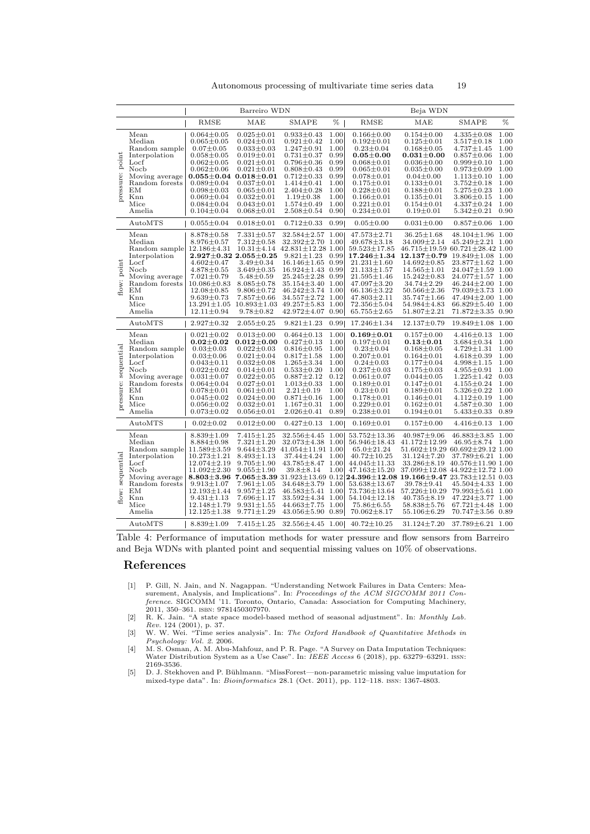Autonomous processing of multivariate time series data 19

|                         |                                                                                                                                     |                                                                                                                                                                                                                                                      | Barreiro WDN                                                                                                                                                                                                                                                |                                                                                                                                                                                                                                                                                                | Beja WDN                                                                                     |                                                                                                                                                                                                                                                                                                                        |                                                                                                                                                                                                                                                         |                                                                                                                                                                                                                                                        |                                                                                              |
|-------------------------|-------------------------------------------------------------------------------------------------------------------------------------|------------------------------------------------------------------------------------------------------------------------------------------------------------------------------------------------------------------------------------------------------|-------------------------------------------------------------------------------------------------------------------------------------------------------------------------------------------------------------------------------------------------------------|------------------------------------------------------------------------------------------------------------------------------------------------------------------------------------------------------------------------------------------------------------------------------------------------|----------------------------------------------------------------------------------------------|------------------------------------------------------------------------------------------------------------------------------------------------------------------------------------------------------------------------------------------------------------------------------------------------------------------------|---------------------------------------------------------------------------------------------------------------------------------------------------------------------------------------------------------------------------------------------------------|--------------------------------------------------------------------------------------------------------------------------------------------------------------------------------------------------------------------------------------------------------|----------------------------------------------------------------------------------------------|
|                         |                                                                                                                                     | <b>RMSE</b>                                                                                                                                                                                                                                          | MAE                                                                                                                                                                                                                                                         | SMAPE                                                                                                                                                                                                                                                                                          | $%$                                                                                          | RMSE                                                                                                                                                                                                                                                                                                                   | MAE                                                                                                                                                                                                                                                     | SMAPE                                                                                                                                                                                                                                                  | %                                                                                            |
| pressure: point         | Mean<br>Median<br>Random sample<br>Interpolation<br>Locf<br>Nocb<br>Moving average<br>Random forests<br>ΕM<br>Knn<br>Mice<br>Amelia | $0.064 \pm 0.05$<br>$0.065 \pm 0.05$<br>$0.07 \pm 0.05$<br>$0.058 \pm 0.05$<br>$0.062 \pm 0.05$<br>$0.062 \pm 0.06$<br>$0.055{\pm}0.04$<br>$0.089 \pm 0.04$<br>$0.098 \pm 0.03$<br>$0.069 \pm 0.04$<br>$0.084 \pm 0.04$<br>$0.104 \pm 0.04$          | $0.025 \pm 0.01$<br>$0.024 \pm 0.01$<br>$0.033 \pm 0.03$<br>$0.019 \pm 0.01$<br>$0.021 \pm 0.01$<br>$0.021 \pm 0.01$<br>$0.018 \pm 0.01$<br>$0.037 \pm 0.01$<br>$0.065 \pm 0.01$<br>$0.032 \pm 0.01$<br>$0.043 \pm 0.01$<br>$0.068 \pm 0.01$                | $0.933 \pm 0.43$<br>$0.921 \pm 0.42$<br>$1.247 \pm 0.91$<br>$0.731 \pm 0.37$<br>$0.796 \pm 0.36$<br>$0.808 \pm 0.43$<br>$0.712 \pm 0.33$<br>$1.414 \pm 0.41$<br>$2.404 \pm 0.28$<br>$1.19 \pm 0.38$<br>$1.574 \pm 0.49$<br>$2.508 \pm 0.54$                                                    | 1.00<br>1.00<br>1.00<br>0.99<br>0.99<br>0.99<br>0.99<br>1.00<br>1.00<br>1.00<br>1.00<br>0.90 | $0.166 \pm 0.00$<br>$0.192 \pm 0.01$<br>$0.23 \pm 0.04$<br>$0.05{\pm}0.00$<br>$0.068 \pm 0.01$<br>$0.065 \pm 0.01$<br>$0.078 \pm 0.01$<br>$0.175 \pm 0.01$<br>$0.228 \pm 0.01$<br>$0.166 \pm 0.01$<br>$0.221 \pm 0.01$<br>$0.234 \pm 0.01$                                                                             | $0.154 \pm 0.00$<br>$0.125 \pm 0.01$<br>$0.168 \pm 0.05$<br>$0.031{\pm}0.00$<br>$0.036 \pm 0.00$<br>$0.035 \pm 0.00$<br>$0.04 \pm 0.00$<br>$0.133 \pm 0.01$<br>$0.188 \pm 0.01$<br>$0.135 \pm 0.01$<br>$0.154 \pm 0.01$<br>$0.19 + 0.01$                | $4.335 \pm 0.08$<br>$3.517 \pm 0.18$<br>$4.737 \pm 1.45$<br>$0.857 \pm 0.06$<br>$0.999 \pm 0.10$<br>$0.973 \pm 0.09$<br>$1.113 \pm 0.10$<br>$3.752 \pm 0.18$<br>$5.275 \pm 0.23$<br>$3.806 \pm 0.15$<br>$4.337 \pm 0.24$<br>$5.342 \pm 0.21$           | 1.00<br>1.00<br>1.00<br>1.00<br>1.00<br>1.00<br>1.00<br>1.00<br>1.00<br>1.00<br>1.00<br>0.90 |
|                         | AutoMTS                                                                                                                             | $0.055 \pm 0.04$                                                                                                                                                                                                                                     | $0.018 \pm 0.01$                                                                                                                                                                                                                                            | $0.712 \pm 0.33$                                                                                                                                                                                                                                                                               | 0.99                                                                                         | $0.05 \pm 0.00$                                                                                                                                                                                                                                                                                                        | $0.031 \pm 0.00$                                                                                                                                                                                                                                        | $0.857 \pm 0.06$                                                                                                                                                                                                                                       | 1.00                                                                                         |
| flow: point             | Mean<br>Median<br>Random sample<br>Interpolation<br>Locf<br>Noch<br>Moving average<br>Random forests<br>ΕM<br>Knn<br>Mice<br>Amelia | $8.878 \pm 0.58$<br>$8.976 \pm 0.57$<br>12.186±4.31<br>$4.602 \pm 0.47$<br>$4.878 \pm 0.55$<br>$7.021 \pm 0.79$<br>$10.086 \pm 0.83$<br>$12.08 \pm 0.85$<br>$9.639 \pm 0.73$<br>$13.291 \pm 1.05$<br>$12.11 \pm 0.94$                                | $7.331 \pm 0.57$<br>$7.312 \pm 0.58$<br>$10.31 \pm 4.14$<br>$2.927 \pm 0.32$ $2.055 \pm 0.25$<br>$3.49 \pm 0.34$<br>$3.649 \pm 0.35$<br>$5.48 \pm 0.59$<br>$8.085 \pm 0.78$<br>$9.806 \pm 0.72$<br>$7.857 \pm 0.66$<br>$10.893 \pm 1.03$<br>$9.78 \pm 0.82$ | $32.584 \pm 2.57$ 1.00<br>$32.392 \pm 2.70$ 1.00<br>$42.831 \pm 12.28$ 1.00<br>$9.821 \pm 1.23$<br>$16.146 \pm 1.65$ 0.99<br>$16.924 \pm 1.43$ 0.99<br>$25.245 \pm 2.28$ 0.99<br>$35.154 \pm 3.40$ 1.00<br>$46.242 \pm 3.74$ 1.00<br>34.557±2.72<br>$49.257 \pm 5.83$<br>42.972±4.07 0.90      | 0.99<br>1.00<br>1.00                                                                         | $47.573 \pm 2.71$<br>$49.678 \pm 3.18$<br>$59.523 \pm 17.85$<br>$17.246 \pm 1.34$<br>$21.231 \pm 1.60$<br>$21.133 \pm 1.57$<br>$21.595 \pm 1.46$<br>$47.097 \pm 3.20$<br>$66.136 \pm 3.22$<br>$47.803 \pm 2.11$<br>$72.356 \pm 5.04$<br>$65.755 \pm 2.65$                                                              | $36.25 \pm 1.68$<br>$34.009 \pm 2.14$<br>$46.715 \pm 19.59$<br>$12.137 \pm 0.79$<br>$14.692 \pm 0.85$<br>$14.565 \pm 1.01$<br>$15.242 \pm 0.83$<br>$34.74 \pm 2.29$<br>$50.566 \pm 2.36$<br>$35.747 \pm 1.66$<br>$54.984 \pm 4.83$<br>$51.807 \pm 2.21$ | $48.104 \pm 1.96$<br>$45.249 \pm 2.21$<br>$60.721 \pm 28.42$ 1.00<br>$19.849 \pm 1.08$ 1.00<br>$23.877 \pm 1.62$ 1.00<br>24.047±1.59<br>$24.077 \pm 1.57$<br>$46.244 \pm 2.00$<br>79.039±3.73<br>47.494±2.00<br>$66.829 \pm 5.40$<br>$71.872 \pm 3.35$ | 1.00<br>1.00<br>1.00<br>1.00<br>1.00<br>1.00<br>1.00<br>1.00<br>0.90                         |
|                         | AutoMTS                                                                                                                             | $2.927 \pm 0.32$                                                                                                                                                                                                                                     | $2.055 \pm 0.25$                                                                                                                                                                                                                                            | $9.821 \pm 1.23$                                                                                                                                                                                                                                                                               | 0.99                                                                                         | $17.246 \pm 1.34$                                                                                                                                                                                                                                                                                                      | $12.137 \pm 0.79$                                                                                                                                                                                                                                       | $19.849 \pm 1.08$                                                                                                                                                                                                                                      | 1.00                                                                                         |
| sequential<br>pressure: | Mean<br>Median<br>Random sample<br>Interpolation<br>Locf<br>Noch<br>Moving average<br>Random forests<br>EM<br>Knn<br>Mice<br>Amelia | $0.021 \pm 0.02$<br>$0.02 \pm 0.02$<br>$0.03 \pm 0.03$<br>$0.03 \pm 0.06$<br>$0.043 \pm 0.11$<br>$0.022 \pm 0.02$<br>$0.031 \pm 0.07$<br>$0.064 \pm 0.04$<br>$0.078 \pm 0.01$<br>$0.045 \pm 0.02$<br>$0.056 \pm 0.02$<br>$0.073 \pm 0.02$            | $0.013 \pm 0.00$<br>$0.012 \pm 0.00$<br>$0.022 \pm 0.03$<br>$0.021 \pm 0.04$<br>$0.032 \pm 0.08$<br>$0.014 \pm 0.01$<br>$0.022 \pm 0.05$<br>$0.027 \pm 0.01$<br>$0.061 \pm 0.01$<br>$0.024 \pm 0.00$<br>$0.032 \pm 0.01$<br>$0.056 \pm 0.01$                | $0.464 \pm 0.13$<br>$0.427 \pm 0.13$<br>$0.816 \pm 0.95$<br>$0.817 \pm 1.58$<br>$1.265 \pm 3.34$<br>$0.533 \pm 0.20$<br>$0.887 \pm 2.12$<br>$1.013 \pm 0.33$<br>$2.21 \pm 0.19$<br>$0.871 \pm 0.16$<br>$1.167 \pm 0.31$<br>$2.026 \pm 0.41$                                                    | 1.00<br>1.00<br>1.00<br>1.00<br>1.00<br>1.00<br>0.12<br>1.00<br>1.00<br>1.00<br>1.00<br>0.89 | $0.169 \pm 0.01$<br>$0.197 \pm 0.01$<br>$0.23 \pm 0.04$<br>$0.207 \pm 0.01$<br>$0.24 \pm 0.03$<br>$0.237 \pm 0.03$<br>$0.061 \pm 0.07$<br>$0.189 \pm 0.01$<br>$0.23 \pm 0.01$<br>$0.178 + 0.01$<br>$0.229 \pm 0.01$<br>$0.238 \pm 0.01$                                                                                | $0.157 \pm 0.00$<br>$0.13 \pm 0.01$<br>$0.168 + 0.05$<br>$0.164 \pm 0.01$<br>$0.177 \pm 0.04$<br>$0.175 \pm 0.03$<br>$0.044 \pm 0.05$<br>$0.147 \pm 0.01$<br>$0.189 \pm 0.01$<br>$0.146 \pm 0.01$<br>$0.162 \pm 0.01$<br>$0.194 \pm 0.01$               | $4.416 \pm 0.13$<br>$3.684 \pm 0.34$<br>$4.729 \pm 1.31$<br>$4.618 \pm 0.39$<br>$4.998 \pm 1.15$<br>$4.955 \pm 0.91$<br>$1.225 \pm 1.42$<br>$4.155 \pm 0.24$<br>$5.326 \pm 0.22$<br>$4.112 \pm 0.19$<br>$4.587 \pm 0.30$<br>$5.433 \pm 0.33$           | 1.00<br>1.00<br>1.00<br>1.00<br>1.00<br>1.00<br>0.03<br>1.00<br>1.00<br>1.00<br>1.00<br>0.89 |
|                         | AutoMTS                                                                                                                             | $0.02 \pm 0.02$                                                                                                                                                                                                                                      | $0.012 \pm 0.00$                                                                                                                                                                                                                                            | $0.427 \pm 0.13$                                                                                                                                                                                                                                                                               | 1.00                                                                                         | $0.169 \pm 0.01$                                                                                                                                                                                                                                                                                                       | $0.157 \pm 0.00$                                                                                                                                                                                                                                        | $4.416 \pm 0.13$                                                                                                                                                                                                                                       | 1.00                                                                                         |
| flow: sequential        | Mean<br>Median<br>Random sample<br>Interpolation<br>Locf<br>Noch<br>Moving average<br>Random forests<br>ΕM<br>Knn<br>Mice<br>Amelia | $8.839 \pm 1.09$<br>$8.884 \pm 0.98$<br>$11.589 \pm 3.59$<br>$10.273 \pm 1.21$<br>12.074±2.19<br>$11.092 \pm 2.30$<br>$\mathbf{8.803} \!\pm\! 3.96$<br>$9.913 \pm 1.07$<br>12.193±1.44<br>$9.431 \pm 1.13$<br>$12.148 \pm 1.79$<br>$12.125 \pm 1.38$ | $7.415 \pm 1.25$<br>$7.321 \pm 1.20$<br>$9.644 \pm 3.29$<br>$8.493 \pm 1.13$<br>$9.705 \pm 1.90$<br>$9.055 \pm 1.90$<br>$7.961 \pm 1.05$<br>$9.957 \pm 1.25$<br>$7.696 \pm 1.17$<br>$9.931 \pm 1.55$<br>$9.771 \pm 1.29$                                    | 32.556±4.45 1.00<br>$32.073 \pm 4.38$ 1.00<br>$41.054 \pm 11.91$ 1.00<br>37.44±4.24<br>$43.785 \pm 8.47$ 1.00<br>$39.8 \pm 8.14$<br>7.065 $\pm$ 3.39 31.923 $\pm$ 13.69 0.12<br>34.648±3.79 1.00<br>$46.583 \pm 5.41$ 1.00<br>$33.592 \pm 4.34$ 1.00<br>$44.663 \pm 7.75$<br>$43.056 \pm 5.90$ | 1.00<br>1.00<br>1.00<br>0.89                                                                 | $53.752 \pm 13.36$<br>$56.946 \pm 18.43$<br>$65.0 \pm 21.24$<br>$40.72 \pm 10.25$<br>$44.045 \pm 11.33$<br>$47.163 \pm 15.20$<br>${\bf 24.396 {\pm 12.08}}$ ${\bf 19.166 {\pm 9.47}}$ ${\bf 23.783 {\pm 12.51}}$ ${\bf 0.03}$<br>53.638±13.67<br>73.736±13.64<br>$54.104 \pm 12.18$<br>75.86±6.55<br>$70.062 \pm 8.17$ | $40.987 \pm 9.06$<br>$41.172 \pm 12.99$<br>$31.124 \pm 7.20$<br>$33.286 \pm 8.19$<br>37.099±12.08 44.922±12.72 1.00<br>$39.78 \pm 9.41$<br>$57.226 \pm 10.29$<br>$40.735 \pm 8.19$<br>58.838±5.76<br>$55.106 \pm 6.29$                                  | $46.883 \pm 3.85$<br>$46.95 \pm 8.74$<br>$51.602 \pm 19.29$ 60.692 $\pm 29.12$ 1.00<br>37.789 $\pm$ 6.21<br>$40.576 \pm 11.90$ 1.00<br>$45.504 \pm 4.33$<br>$79.993 \pm 5.61$<br>$47.224 \pm 3.77$<br>$67.721 \pm 4.48$<br>$70.747 \pm 3.56$           | 1.00<br>1.00<br>1.00<br>1.00<br>1.00<br>1.00<br>1.00<br>0.89                                 |
|                         | AutoMTS                                                                                                                             | $8.839 \pm 1.09$                                                                                                                                                                                                                                     | $7.415 \pm 1.25$                                                                                                                                                                                                                                            | $32.556 \pm 4.45$ 1.00                                                                                                                                                                                                                                                                         |                                                                                              | $40.72 \pm 10.25$                                                                                                                                                                                                                                                                                                      | $31.124 \pm 7.20$                                                                                                                                                                                                                                       | $37.789 \pm 6.21$ 1.00                                                                                                                                                                                                                                 |                                                                                              |

Table 4: Performance of imputation methods for water pressure and flow sensors from Barreiro and Beja WDNs with planted point and sequential missing values on 10% of observations.

## References

- [1] P. Gill, N. Jain, and N. Nagappan. "Understanding Network Failures in Data Centers: Measurement, Analysis, and Implications". In: Proceedings of the ACM SIGCOMM 2011 Conference. SIGCOMM 211. Toronto, Ontario, Canada: A
- [2] R. K. Jain. "A state space model-based method of seasonal adjustment". In: Monthly Lab. Rev. 124 (2001), p. 37.
- [3] W. W. Wei. "Time series analysis". In: The Oxford Handbook of Quantitative Methods in Psychology: Vol. 2. 2006.
- [4] M. S. Osman, A. M. Abu-Mahfouz, and P. R. Page. "A Survey on Data Imputation Techniques: Water Distribution System as a Use Case". In: IEEE Access 6 (2018), pp. 63279–63291. issn: 2169-3536.
- [5] D. J. Stekhoven and P. Bühlmann. "MissForest—non-parametric missing value imputation for mixed-type data". In: *Bioinformatics* 28.1 (Oct. 2011), pp. 112–118. ISSN: 1367-4803.